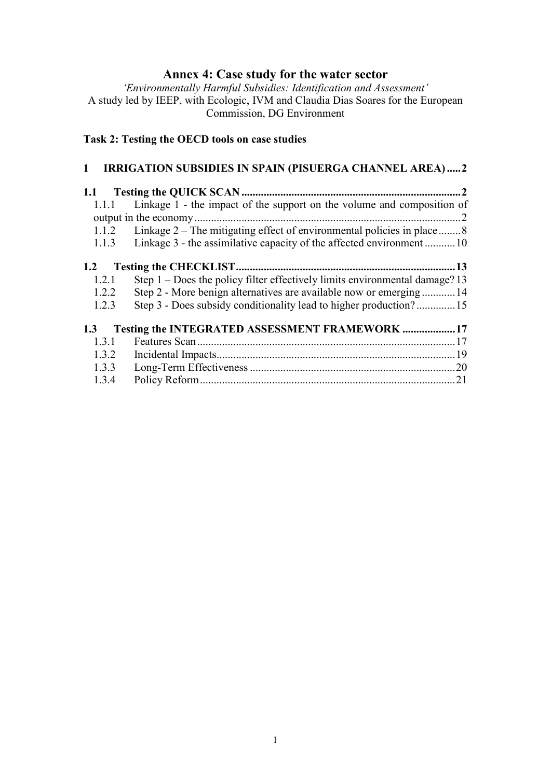# **Annex 4: Case study for the water sector**

*'Environmentally Harmful Subsidies: Identification and Assessment'*  A study led by IEEP, with Ecologic, IVM and Claudia Dias Soares for the European Commission, DG Environment

# **Task 2: Testing the OECD tools on case studies**

# **1 IRRIGATION SUBSIDIES IN SPAIN (PISUERGA CHANNEL AREA) .....2**

| 1.1.1 | Linkage 1 - the impact of the support on the volume and composition of        |    |
|-------|-------------------------------------------------------------------------------|----|
|       |                                                                               |    |
| 1.1.2 | Linkage 2 – The mitigating effect of environmental policies in place  8       |    |
| 1.1.3 | Linkage 3 - the assimilative capacity of the affected environment10           |    |
| 1.2   |                                                                               |    |
| 1.2.1 | Step $1 -$ Does the policy filter effectively limits environmental damage? 13 |    |
| 1.2.2 | Step 2 - More benign alternatives are available now or emerging14             |    |
| 1.2.3 |                                                                               |    |
| 1.3   | Testing the INTEGRATED ASSESSMENT FRAMEWORK  17                               |    |
| 1.3.1 |                                                                               |    |
| 1.3.2 |                                                                               |    |
| 1.3.3 |                                                                               |    |
| 1.3.4 |                                                                               | 21 |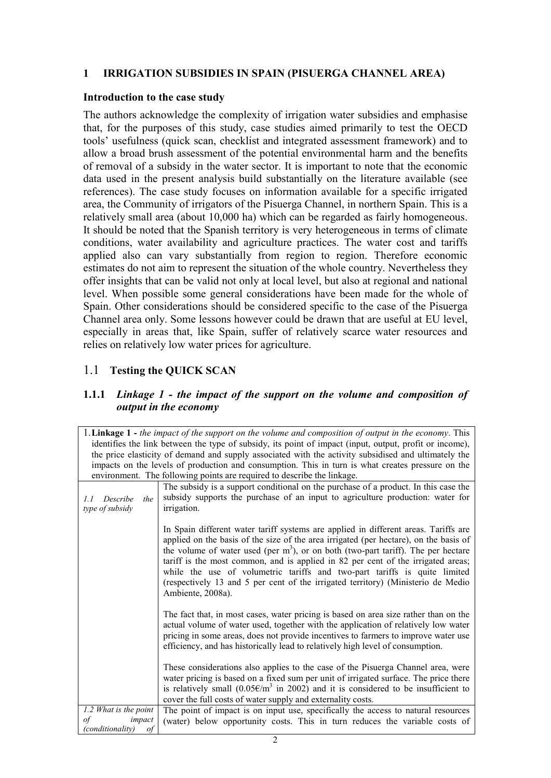## **1 IRRIGATION SUBSIDIES IN SPAIN (PISUERGA CHANNEL AREA)**

## **Introduction to the case study**

The authors acknowledge the complexity of irrigation water subsidies and emphasise that, for the purposes of this study, case studies aimed primarily to test the OECD tools' usefulness (quick scan, checklist and integrated assessment framework) and to allow a broad brush assessment of the potential environmental harm and the benefits of removal of a subsidy in the water sector. It is important to note that the economic data used in the present analysis build substantially on the literature available (see references). The case study focuses on information available for a specific irrigated area, the Community of irrigators of the Pisuerga Channel, in northern Spain. This is a relatively small area (about 10,000 ha) which can be regarded as fairly homogeneous. It should be noted that the Spanish territory is very heterogeneous in terms of climate conditions, water availability and agriculture practices. The water cost and tariffs applied also can vary substantially from region to region. Therefore economic estimates do not aim to represent the situation of the whole country. Nevertheless they offer insights that can be valid not only at local level, but also at regional and national level. When possible some general considerations have been made for the whole of Spain. Other considerations should be considered specific to the case of the Pisuerga Channel area only. Some lessons however could be drawn that are useful at EU level, especially in areas that, like Spain, suffer of relatively scarce water resources and relies on relatively low water prices for agriculture.

## 1.1 **Testing the QUICK SCAN**

## **1.1.1** *Linkage 1 - the impact of the support on the volume and composition of output in the economy*

| 1. Linkage 1 - the impact of the support on the volume and composition of output in the economy. This   |                                                                                                                                                                                                                                                                                                                                                                                                                                                                                                                                               |  |  |  |
|---------------------------------------------------------------------------------------------------------|-----------------------------------------------------------------------------------------------------------------------------------------------------------------------------------------------------------------------------------------------------------------------------------------------------------------------------------------------------------------------------------------------------------------------------------------------------------------------------------------------------------------------------------------------|--|--|--|
| identifies the link between the type of subsidy, its point of impact (input, output, profit or income), |                                                                                                                                                                                                                                                                                                                                                                                                                                                                                                                                               |  |  |  |
|                                                                                                         | the price elasticity of demand and supply associated with the activity subsidised and ultimately the                                                                                                                                                                                                                                                                                                                                                                                                                                          |  |  |  |
|                                                                                                         | impacts on the levels of production and consumption. This in turn is what creates pressure on the                                                                                                                                                                                                                                                                                                                                                                                                                                             |  |  |  |
|                                                                                                         | environment. The following points are required to describe the linkage.                                                                                                                                                                                                                                                                                                                                                                                                                                                                       |  |  |  |
|                                                                                                         | The subsidy is a support conditional on the purchase of a product. In this case the                                                                                                                                                                                                                                                                                                                                                                                                                                                           |  |  |  |
| Describe<br>the<br>1.1                                                                                  | subsidy supports the purchase of an input to agriculture production: water for                                                                                                                                                                                                                                                                                                                                                                                                                                                                |  |  |  |
| type of subsidy                                                                                         | irrigation.                                                                                                                                                                                                                                                                                                                                                                                                                                                                                                                                   |  |  |  |
|                                                                                                         |                                                                                                                                                                                                                                                                                                                                                                                                                                                                                                                                               |  |  |  |
|                                                                                                         | In Spain different water tariff systems are applied in different areas. Tariffs are<br>applied on the basis of the size of the area irrigated (per hectare), on the basis of<br>the volume of water used (per $m3$ ), or on both (two-part tariff). The per hectare<br>tariff is the most common, and is applied in 82 per cent of the irrigated areas;<br>while the use of volumetric tariffs and two-part tariffs is quite limited<br>(respectively 13 and 5 per cent of the irrigated territory) (Ministerio de Medio<br>Ambiente, 2008a). |  |  |  |
|                                                                                                         | The fact that, in most cases, water pricing is based on area size rather than on the<br>actual volume of water used, together with the application of relatively low water<br>pricing in some areas, does not provide incentives to farmers to improve water use<br>efficiency, and has historically lead to relatively high level of consumption.                                                                                                                                                                                            |  |  |  |
|                                                                                                         | These considerations also applies to the case of the Pisuerga Channel area, were<br>water pricing is based on a fixed sum per unit of irrigated surface. The price there<br>is relatively small (0.05 $\epsilon/m^3$ in 2002) and it is considered to be insufficient to<br>cover the full costs of water supply and externality costs.                                                                                                                                                                                                       |  |  |  |
| 1.2 What is the point                                                                                   | The point of impact is on input use, specifically the access to natural resources                                                                                                                                                                                                                                                                                                                                                                                                                                                             |  |  |  |
| of<br>impact                                                                                            | (water) below opportunity costs. This in turn reduces the variable costs of                                                                                                                                                                                                                                                                                                                                                                                                                                                                   |  |  |  |
| <i>(conditionality)</i><br>of                                                                           |                                                                                                                                                                                                                                                                                                                                                                                                                                                                                                                                               |  |  |  |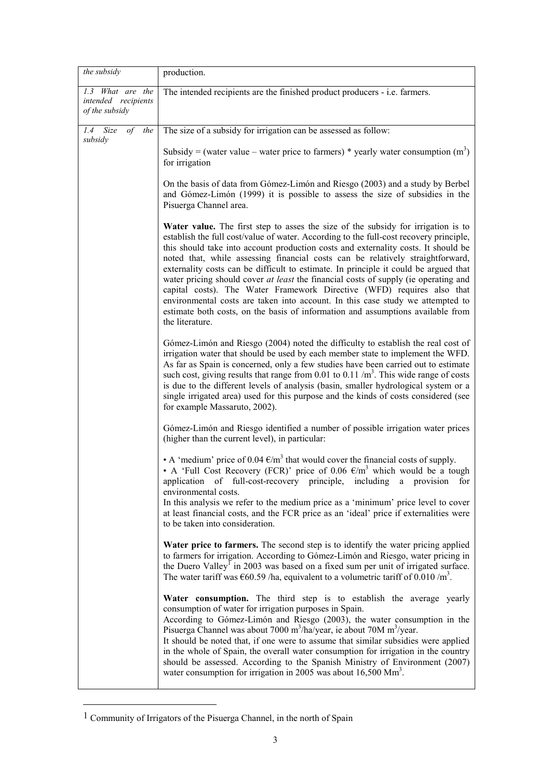| the subsidy                                                            | production.                                                                                                                                                                                                                                                                                                                                                                                                                                                                                                                                                                                                                                                                                                                                                                                          |
|------------------------------------------------------------------------|------------------------------------------------------------------------------------------------------------------------------------------------------------------------------------------------------------------------------------------------------------------------------------------------------------------------------------------------------------------------------------------------------------------------------------------------------------------------------------------------------------------------------------------------------------------------------------------------------------------------------------------------------------------------------------------------------------------------------------------------------------------------------------------------------|
| $\overline{1.3}$ What are the<br>intended recipients<br>of the subsidy | The intended recipients are the finished product producers - i.e. farmers.                                                                                                                                                                                                                                                                                                                                                                                                                                                                                                                                                                                                                                                                                                                           |
| $1.4$ Size<br>of the<br>subsidy                                        | The size of a subsidy for irrigation can be assessed as follow:                                                                                                                                                                                                                                                                                                                                                                                                                                                                                                                                                                                                                                                                                                                                      |
|                                                                        | Subsidy = (water value – water price to farmers) * yearly water consumption $(m^3)$<br>for irrigation                                                                                                                                                                                                                                                                                                                                                                                                                                                                                                                                                                                                                                                                                                |
|                                                                        | On the basis of data from Gómez-Limón and Riesgo (2003) and a study by Berbel<br>and Gómez-Limón (1999) it is possible to assess the size of subsidies in the<br>Pisuerga Channel area.                                                                                                                                                                                                                                                                                                                                                                                                                                                                                                                                                                                                              |
|                                                                        | Water value. The first step to asses the size of the subsidy for irrigation is to<br>establish the full cost/value of water. According to the full-cost recovery principle,<br>this should take into account production costs and externality costs. It should be<br>noted that, while assessing financial costs can be relatively straightforward,<br>externality costs can be difficult to estimate. In principle it could be argued that<br>water pricing should cover at least the financial costs of supply (ie operating and<br>capital costs). The Water Framework Directive (WFD) requires also that<br>environmental costs are taken into account. In this case study we attempted to<br>estimate both costs, on the basis of information and assumptions available from<br>the literature. |
|                                                                        | Gómez-Limón and Riesgo (2004) noted the difficulty to establish the real cost of<br>irrigation water that should be used by each member state to implement the WFD.<br>As far as Spain is concerned, only a few studies have been carried out to estimate<br>such cost, giving results that range from 0.01 to 0.11 $/m3$ . This wide range of costs<br>is due to the different levels of analysis (basin, smaller hydrological system or a<br>single irrigated area) used for this purpose and the kinds of costs considered (see<br>for example Massaruto, 2002).                                                                                                                                                                                                                                  |
|                                                                        | Gómez-Limón and Riesgo identified a number of possible irrigation water prices<br>(higher than the current level), in particular:                                                                                                                                                                                                                                                                                                                                                                                                                                                                                                                                                                                                                                                                    |
|                                                                        | • A 'medium' price of 0.04 $\epsilon/m^3$ that would cover the financial costs of supply.<br>• A 'Full Cost Recovery (FCR)' price of 0.06 $\epsilon/m^3$ which would be a tough<br>application of full-cost-recovery principle, including a provision for<br>environmental costs.<br>In this analysis we refer to the medium price as a 'minimum' price level to cover<br>at least financial costs, and the FCR price as an 'ideal' price if externalities were<br>to be taken into consideration.                                                                                                                                                                                                                                                                                                   |
|                                                                        | Water price to farmers. The second step is to identify the water pricing applied<br>to farmers for irrigation. According to Gómez-Limón and Riesgo, water pricing in<br>the Duero Valley <sup>1</sup> in 2003 was based on a fixed sum per unit of irrigated surface.<br>The water tariff was $\epsilon$ 60.59 /ha, equivalent to a volumetric tariff of 0.010 /m <sup>3</sup> .                                                                                                                                                                                                                                                                                                                                                                                                                     |
|                                                                        | Water consumption. The third step is to establish the average yearly<br>consumption of water for irrigation purposes in Spain.<br>According to Gómez-Limón and Riesgo (2003), the water consumption in the<br>Pisuerga Channel was about 7000 m <sup>3</sup> /ha/year, ie about 70M m <sup>3</sup> /year.<br>It should be noted that, if one were to assume that similar subsidies were applied<br>in the whole of Spain, the overall water consumption for irrigation in the country<br>should be assessed. According to the Spanish Ministry of Environment (2007)<br>water consumption for irrigation in 2005 was about $16,500 \text{ Mm}^3$ .                                                                                                                                                   |

<sup>1</sup> Community of Irrigators of the Pisuerga Channel, in the north of Spain

<u>.</u>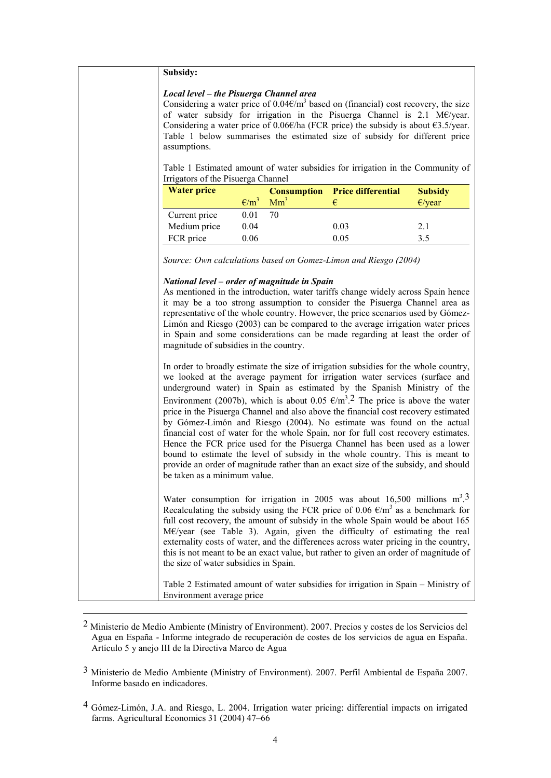#### **Subsidy:**

#### *Local level – the Pisuerga Channel area*

Considering a water price of  $0.04 \epsilon/m^3$  based on (financial) cost recovery, the size of water subsidy for irrigation in the Pisuerga Channel is 2.1 M€/year. Considering a water price of 0.06€/ha (FCR price) the subsidy is about  $€3.5$ /year. Table 1 below summarises the estimated size of subsidy for different price assumptions.

Table 1 Estimated amount of water subsidies for irrigation in the Community of Irrigators of the Pisuerga Channel

|                |                 |      | <b>Subsidy</b>                        |
|----------------|-----------------|------|---------------------------------------|
| $\epsilon/m^3$ | Mm <sup>3</sup> |      | $E$ /year                             |
| 0.01           | 70              |      |                                       |
| 0.04           |                 | 0.03 | 2.1                                   |
| 0.06           |                 | 0.05 | 35                                    |
|                |                 |      | <b>Consumption</b> Price differential |

*Source: Own calculations based on Gomez-Limon and Riesgo (2004)* 

#### *National level – order of magnitude in Spain*

As mentioned in the introduction, water tariffs change widely across Spain hence it may be a too strong assumption to consider the Pisuerga Channel area as representative of the whole country. However, the price scenarios used by Gómez-Limón and Riesgo (2003) can be compared to the average irrigation water prices in Spain and some considerations can be made regarding at least the order of magnitude of subsidies in the country.

In order to broadly estimate the size of irrigation subsidies for the whole country, we looked at the average payment for irrigation water services (surface and underground water) in Spain as estimated by the Spanish Ministry of the Environment (2007b), which is about 0.05  $\epsilon/m^3$ .<sup>2</sup> The price is above the water price in the Pisuerga Channel and also above the financial cost recovery estimated by Gómez-Limón and Riesgo (2004). No estimate was found on the actual financial cost of water for the whole Spain, nor for full cost recovery estimates. Hence the FCR price used for the Pisuerga Channel has been used as a lower bound to estimate the level of subsidy in the whole country. This is meant to provide an order of magnitude rather than an exact size of the subsidy, and should be taken as a minimum value.

Water consumption for irrigation in 2005 was about 16,500 millions  $m^3$ .<sup>3</sup> Recalculating the subsidy using the FCR price of 0.06  $\epsilon/m^3$  as a benchmark for full cost recovery, the amount of subsidy in the whole Spain would be about 165 M€/year (see Table 3). Again, given the difficulty of estimating the real externality costs of water, and the differences across water pricing in the country, this is not meant to be an exact value, but rather to given an order of magnitude of the size of water subsidies in Spain.

Table 2 Estimated amount of water subsidies for irrigation in Spain – Ministry of Environment average price

2 Ministerio de Medio Ambiente (Ministry of Environment). 2007. Precios y costes de los Servicios del Agua en España - Informe integrado de recuperación de costes de los servicios de agua en España. Artículo 5 y anejo III de la Directiva Marco de Agua

<u>.</u>

- 3 Ministerio de Medio Ambiente (Ministry of Environment). 2007. Perfil Ambiental de España 2007. Informe basado en indicadores.
- 4 Gómez-Limón, J.A. and Riesgo, L. 2004. Irrigation water pricing: differential impacts on irrigated farms. Agricultural Economics 31 (2004) 47–66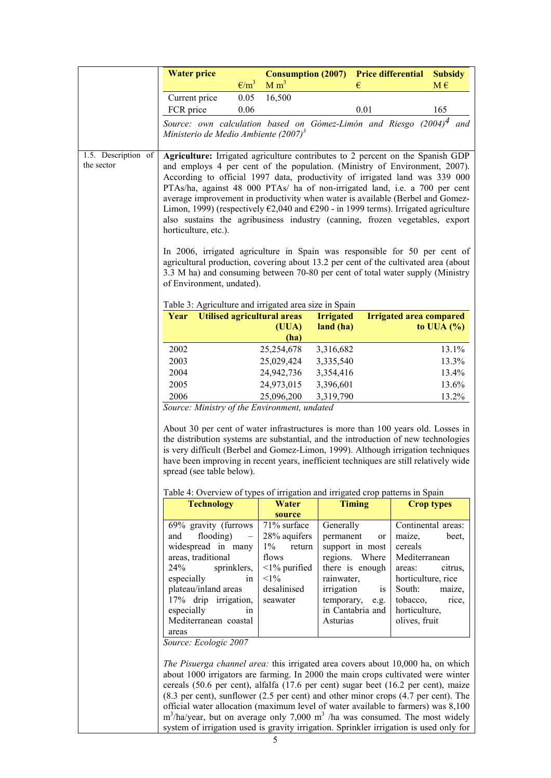|                     | <b>Water price</b>                                                                                                                                                                                                                                                                                                                                                                                                                                                                                                                          |                                                                                                                                |                                                                                                                                                                                            | <b>Subsidy</b>                                                                                                                                                                          |
|---------------------|---------------------------------------------------------------------------------------------------------------------------------------------------------------------------------------------------------------------------------------------------------------------------------------------------------------------------------------------------------------------------------------------------------------------------------------------------------------------------------------------------------------------------------------------|--------------------------------------------------------------------------------------------------------------------------------|--------------------------------------------------------------------------------------------------------------------------------------------------------------------------------------------|-----------------------------------------------------------------------------------------------------------------------------------------------------------------------------------------|
|                     | $\epsilon/m^3$                                                                                                                                                                                                                                                                                                                                                                                                                                                                                                                              | <b>Consumption (2007)</b><br>M m <sup>3</sup>                                                                                  | €                                                                                                                                                                                          | <b>Price differential</b><br>$M \in$                                                                                                                                                    |
|                     |                                                                                                                                                                                                                                                                                                                                                                                                                                                                                                                                             |                                                                                                                                |                                                                                                                                                                                            |                                                                                                                                                                                         |
|                     | 0.05<br>Current price                                                                                                                                                                                                                                                                                                                                                                                                                                                                                                                       | 16,500                                                                                                                         |                                                                                                                                                                                            |                                                                                                                                                                                         |
|                     | FCR price<br>0.06                                                                                                                                                                                                                                                                                                                                                                                                                                                                                                                           |                                                                                                                                | 0.01                                                                                                                                                                                       | 165                                                                                                                                                                                     |
|                     | Source: own calculation based on Gómez-Limón and Riesgo (2004) <sup>4</sup> and<br>Ministerio de Medio Ambiente (2007) <sup>3</sup>                                                                                                                                                                                                                                                                                                                                                                                                         |                                                                                                                                |                                                                                                                                                                                            |                                                                                                                                                                                         |
|                     |                                                                                                                                                                                                                                                                                                                                                                                                                                                                                                                                             |                                                                                                                                |                                                                                                                                                                                            |                                                                                                                                                                                         |
| 1.5. Description of | Agriculture: Irrigated agriculture contributes to 2 percent on the Spanish GDP                                                                                                                                                                                                                                                                                                                                                                                                                                                              |                                                                                                                                |                                                                                                                                                                                            |                                                                                                                                                                                         |
| the sector          | and employs 4 per cent of the population. (Ministry of Environment, 2007).<br>According to official 1997 data, productivity of irrigated land was 339 000<br>PTAs/ha, against 48 000 PTAs/ ha of non-irrigated land, i.e. a 700 per cent<br>average improvement in productivity when water is available (Berbel and Gomez-<br>Limon, 1999) (respectively $\epsilon$ 2,040 and $\epsilon$ 290 - in 1999 terms). Irrigated agriculture<br>also sustains the agribusiness industry (canning, frozen vegetables, export<br>horticulture, etc.). |                                                                                                                                |                                                                                                                                                                                            |                                                                                                                                                                                         |
|                     | In 2006, irrigated agriculture in Spain was responsible for 50 per cent of<br>agricultural production, covering about 13.2 per cent of the cultivated area (about<br>3.3 M ha) and consuming between 70-80 per cent of total water supply (Ministry<br>of Environment, undated).                                                                                                                                                                                                                                                            |                                                                                                                                |                                                                                                                                                                                            |                                                                                                                                                                                         |
|                     | Table 3: Agriculture and irrigated area size in Spain                                                                                                                                                                                                                                                                                                                                                                                                                                                                                       |                                                                                                                                |                                                                                                                                                                                            |                                                                                                                                                                                         |
|                     | Year                                                                                                                                                                                                                                                                                                                                                                                                                                                                                                                                        | <b>Utilised agricultural areas</b>                                                                                             | <b>Irrigated</b>                                                                                                                                                                           | <b>Irrigated area compared</b>                                                                                                                                                          |
|                     |                                                                                                                                                                                                                                                                                                                                                                                                                                                                                                                                             | (UUA)                                                                                                                          | land (ha)                                                                                                                                                                                  | to UUA $(\%)$                                                                                                                                                                           |
|                     |                                                                                                                                                                                                                                                                                                                                                                                                                                                                                                                                             | (ha)                                                                                                                           |                                                                                                                                                                                            |                                                                                                                                                                                         |
|                     | 2002                                                                                                                                                                                                                                                                                                                                                                                                                                                                                                                                        | 25,254,678                                                                                                                     | 3,316,682                                                                                                                                                                                  | 13.1%                                                                                                                                                                                   |
|                     | 2003                                                                                                                                                                                                                                                                                                                                                                                                                                                                                                                                        | 25,029,424                                                                                                                     | 3,335,540                                                                                                                                                                                  | 13.3%                                                                                                                                                                                   |
|                     | 2004                                                                                                                                                                                                                                                                                                                                                                                                                                                                                                                                        | 24,942,736                                                                                                                     | 3,354,416                                                                                                                                                                                  | 13.4%                                                                                                                                                                                   |
|                     | 2005                                                                                                                                                                                                                                                                                                                                                                                                                                                                                                                                        | 24,973,015                                                                                                                     | 3,396,601                                                                                                                                                                                  | 13.6%                                                                                                                                                                                   |
|                     | 2006                                                                                                                                                                                                                                                                                                                                                                                                                                                                                                                                        | 25,096,200                                                                                                                     | 3,319,790                                                                                                                                                                                  | 13.2%                                                                                                                                                                                   |
|                     | About 30 per cent of water infrastructures is more than 100 years old. Losses in<br>the distribution systems are substantial, and the introduction of new technologies<br>is very difficult (Berbel and Gomez-Limon, 1999). Although irrigation techniques<br>have been improving in recent years, inefficient techniques are still relatively wide<br>spread (see table below).                                                                                                                                                            |                                                                                                                                |                                                                                                                                                                                            |                                                                                                                                                                                         |
|                     |                                                                                                                                                                                                                                                                                                                                                                                                                                                                                                                                             |                                                                                                                                |                                                                                                                                                                                            |                                                                                                                                                                                         |
|                     | Table 4: Overview of types of irrigation and irrigated crop patterns in Spain                                                                                                                                                                                                                                                                                                                                                                                                                                                               |                                                                                                                                |                                                                                                                                                                                            |                                                                                                                                                                                         |
|                     | <b>Technology</b>                                                                                                                                                                                                                                                                                                                                                                                                                                                                                                                           | Water<br>source                                                                                                                | <b>Timing</b>                                                                                                                                                                              | <b>Crop types</b>                                                                                                                                                                       |
|                     | 69% gravity (furrows<br>flooding)<br>and<br>widespread in many<br>areas, traditional<br>24%<br>sprinklers,<br>especially<br>plateau/inland areas<br>17% drip irrigation,<br>especially<br>Mediterranean coastal<br>areas<br>Source: Ecologic 2007                                                                                                                                                                                                                                                                                           | 71% surface<br>28% aquifers<br>$1\%$<br>return<br>flows<br>$\leq$ 1% purified<br>$<1\%$<br>in<br>desalinised<br>seawater<br>in | Generally<br>permanent<br><sub>or</sub><br>support in most<br>regions.<br>Where<br>there is enough<br>rainwater,<br>irrigation<br>1S<br>temporary,<br>e.g.<br>in Cantabria and<br>Asturias | Continental areas:<br>maize,<br>beet,<br>cereals<br>Mediterranean<br>areas:<br>citrus,<br>horticulture, rice<br>South:<br>maize,<br>tobacco,<br>rice,<br>horticulture,<br>olives, fruit |
|                     | The Pisuerga channel area: this irrigated area covers about 10,000 ha, on which<br>about 1000 irrigators are farming. In 2000 the main crops cultivated were winter<br>cereals (50.6 per cent), alfalfa (17.6 per cent) sugar beet (16.2 per cent), maize<br>(8.3 per cent), sunflower (2.5 per cent) and other minor crops (4.7 per cent). The<br>official water allocation (maximum level of water available to farmers) was 8,100<br>$m^3$ /ha/year, but on average only 7,000 m <sup>3</sup> /ha was consumed. The most widely          |                                                                                                                                |                                                                                                                                                                                            |                                                                                                                                                                                         |

system of irrigation used is gravity irrigation. Sprinkler irrigation is used only for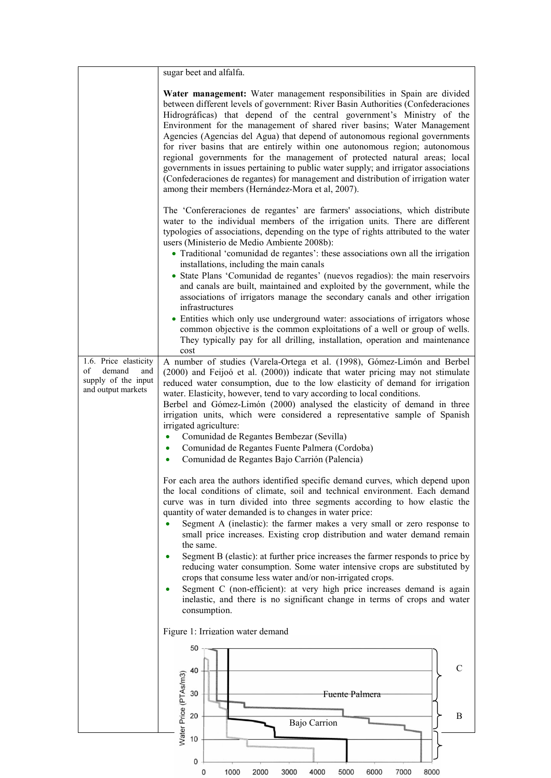|                                                                                           | sugar beet and alfalfa.                                                                                                                                                                                                                                                                                                                                                                                                                                                                                                                                                                                                                                                                                                                                                                       |
|-------------------------------------------------------------------------------------------|-----------------------------------------------------------------------------------------------------------------------------------------------------------------------------------------------------------------------------------------------------------------------------------------------------------------------------------------------------------------------------------------------------------------------------------------------------------------------------------------------------------------------------------------------------------------------------------------------------------------------------------------------------------------------------------------------------------------------------------------------------------------------------------------------|
|                                                                                           | Water management: Water management responsibilities in Spain are divided<br>between different levels of government: River Basin Authorities (Confederaciones<br>Hidrográficas) that depend of the central government's Ministry of the<br>Environment for the management of shared river basins; Water Management<br>Agencies (Agencias del Agua) that depend of autonomous regional governments<br>for river basins that are entirely within one autonomous region; autonomous<br>regional governments for the management of protected natural areas; local<br>governments in issues pertaining to public water supply; and irrigator associations<br>(Confederaciones de regantes) for management and distribution of irrigation water<br>among their members (Hernández-Mora et al, 2007). |
|                                                                                           | The 'Confereraciones de regantes' are farmers' associations, which distribute<br>water to the individual members of the irrigation units. There are different<br>typologies of associations, depending on the type of rights attributed to the water<br>users (Ministerio de Medio Ambiente 2008b):<br>• Traditional 'comunidad de regantes': these associations own all the irrigation                                                                                                                                                                                                                                                                                                                                                                                                       |
|                                                                                           | installations, including the main canals<br>• State Plans 'Comunidad de regantes' (nuevos regadios): the main reservoirs<br>and canals are built, maintained and exploited by the government, while the<br>associations of irrigators manage the secondary canals and other irrigation<br>infrastructures                                                                                                                                                                                                                                                                                                                                                                                                                                                                                     |
|                                                                                           | • Entities which only use underground water: associations of irrigators whose<br>common objective is the common exploitations of a well or group of wells.<br>They typically pay for all drilling, installation, operation and maintenance<br>cost                                                                                                                                                                                                                                                                                                                                                                                                                                                                                                                                            |
| 1.6. Price elasticity<br>demand<br>of<br>and<br>supply of the input<br>and output markets | A number of studies (Varela-Ortega et al. (1998), Gómez-Limón and Berbel<br>(2000) and Feijoó et al. (2000)) indicate that water pricing may not stimulate<br>reduced water consumption, due to the low elasticity of demand for irrigation<br>water. Elasticity, however, tend to vary according to local conditions.<br>Berbel and Gómez-Limón (2000) analysed the elasticity of demand in three<br>irrigation units, which were considered a representative sample of Spanish<br>irrigated agriculture:                                                                                                                                                                                                                                                                                    |
|                                                                                           | Comunidad de Regantes Bembezar (Sevilla)<br>Comunidad de Regantes Fuente Palmera (Cordoba)<br>Comunidad de Regantes Bajo Carrión (Palencia)                                                                                                                                                                                                                                                                                                                                                                                                                                                                                                                                                                                                                                                   |
|                                                                                           | For each area the authors identified specific demand curves, which depend upon<br>the local conditions of climate, soil and technical environment. Each demand<br>curve was in turn divided into three segments according to how elastic the<br>quantity of water demanded is to changes in water price:<br>Segment A (inelastic): the farmer makes a very small or zero response to<br>small price increases. Existing crop distribution and water demand remain                                                                                                                                                                                                                                                                                                                             |
|                                                                                           | the same.<br>Segment B (elastic): at further price increases the farmer responds to price by<br>reducing water consumption. Some water intensive crops are substituted by<br>crops that consume less water and/or non-irrigated crops.<br>Segment C (non-efficient): at very high price increases demand is again<br>inelastic, and there is no significant change in terms of crops and water<br>consumption.                                                                                                                                                                                                                                                                                                                                                                                |
|                                                                                           | Figure 1: Irrigation water demand                                                                                                                                                                                                                                                                                                                                                                                                                                                                                                                                                                                                                                                                                                                                                             |
|                                                                                           | 50<br>$\mathcal{C}$<br>40<br>30<br>Fuente Palmera                                                                                                                                                                                                                                                                                                                                                                                                                                                                                                                                                                                                                                                                                                                                             |
|                                                                                           | Water Price (PTAs/m3)<br>20<br>$\mathbf{B}$<br>Bajo Carrion                                                                                                                                                                                                                                                                                                                                                                                                                                                                                                                                                                                                                                                                                                                                   |
|                                                                                           | 10<br>0                                                                                                                                                                                                                                                                                                                                                                                                                                                                                                                                                                                                                                                                                                                                                                                       |

0 1000 2000 3000 4000

5000 6000 7000 8000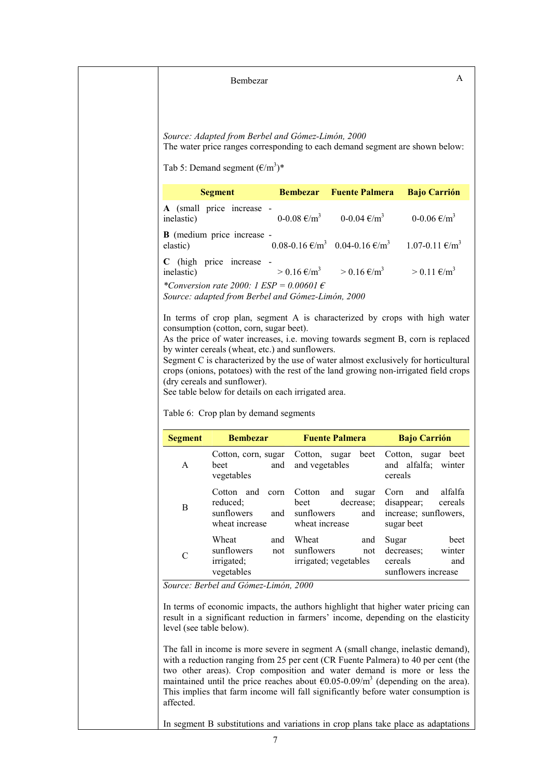Bembezar A

*Source: Adapted from Berbel and Gómez-Limón, 2000*  The water price ranges corresponding to each demand segment are shown below:

Tab 5: Demand segment  $(\text{\textsterling}/\text{\textsf{m}}^3)^*$ 

| <b>Segment</b>                                                                                         |  | <b>Bembezar</b> Fuente Palmera                                                                                  | <b>Bajo Carrión</b>      |
|--------------------------------------------------------------------------------------------------------|--|-----------------------------------------------------------------------------------------------------------------|--------------------------|
| A (small price increase -<br>inelastic)                                                                |  | $0-0.08 \text{ } \infty/m^3$ 0-0.04 $\infty/m^3$                                                                | $0 - 0.06 \text{ E/m}^3$ |
| <b>B</b> (medium price increase -<br>elastic)                                                          |  | $0.08 - 0.16 \text{ } \infty$ $(m^3 \quad 0.04 - 0.16 \text{ } \infty$ $(m^3 \quad 1.07 - 0.11 \text{ } \infty$ |                          |
| C (high price increase -<br>inelastic)                                                                 |  | $> 0.16 \text{ E/m}^3$ $> 0.16 \text{ E/m}^3$                                                                   | $> 0.11 \text{ E/m}^3$   |
| *Conversion rate 2000: 1 $ESP = 0.00601 \epsilon$<br>Source: adapted from Berbel and Gómez-Limón, 2000 |  |                                                                                                                 |                          |

In terms of crop plan, segment A is characterized by crops with high water consumption (cotton, corn, sugar beet).

As the price of water increases, i.e. moving towards segment B, corn is replaced by winter cereals (wheat, etc.) and sunflowers.

Segment C is characterized by the use of water almost exclusively for horticultural crops (onions, potatoes) with the rest of the land growing non-irrigated field crops (dry cereals and sunflower).

See table below for details on each irrigated area.

Table 6: Crop plan by demand segments

| <b>Segment</b> | <b>Bembezar</b>                                                          | <b>Fuente Palmera</b>                                                              | <b>Bajo Carrión</b>                                                                    |
|----------------|--------------------------------------------------------------------------|------------------------------------------------------------------------------------|----------------------------------------------------------------------------------------|
| A              | Cotton, corn, sugar<br>beet<br>and<br>vegetables                         | beet<br>Cotton, sugar<br>and vegetables                                            | Cotton,<br>beet<br>sugar<br>and alfalfa;<br>winter<br>cereals                          |
| B              | and<br>Cotton<br>corn<br>reduced:<br>sunflowers<br>and<br>wheat increase | and<br>Cotton<br>sugar<br>decrease;<br>beet<br>sunflowers<br>and<br>wheat increase | alfalfa<br>Corn<br>and<br>disappear;<br>cereals<br>increase; sunflowers,<br>sugar beet |
| C              | Wheat<br>and<br>sunflowers<br>not<br>irrigated;<br>vegetables            | Wheat<br>and<br>sunflowers<br>not<br>irrigated; vegetables                         | beet<br>Sugar<br>decreases;<br>winter<br>cereals<br>and<br>sunflowers increase         |

*Source: Berbel and Gómez-Limón, 2000* 

In terms of economic impacts, the authors highlight that higher water pricing can result in a significant reduction in farmers' income, depending on the elasticity level (see table below).

The fall in income is more severe in segment A (small change, inelastic demand), with a reduction ranging from 25 per cent (CR Fuente Palmera) to 40 per cent (the two other areas). Crop composition and water demand is more or less the maintained until the price reaches about  $\epsilon$ 0.05-0.09/m<sup>3</sup> (depending on the area). This implies that farm income will fall significantly before water consumption is affected.

In segment B substitutions and variations in crop plans take place as adaptations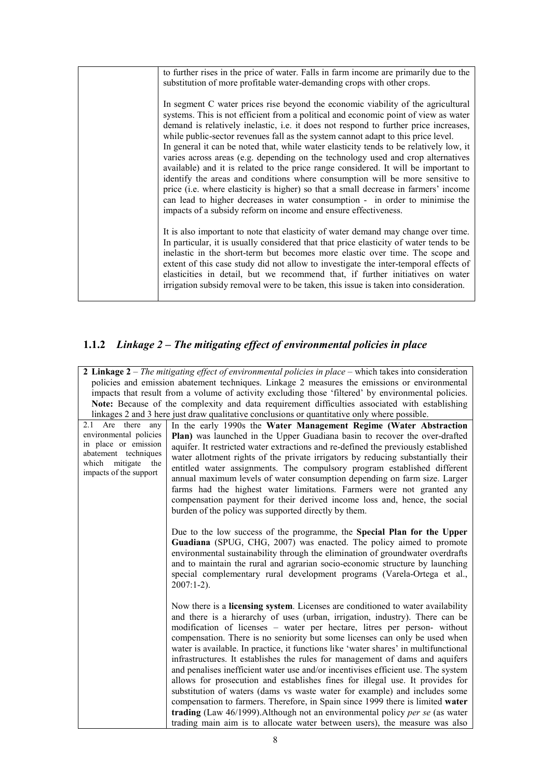| to further rises in the price of water. Falls in farm income are primarily due to the<br>substitution of more profitable water-demanding crops with other crops.                                                                                                                                                                                                                                                                                                                                                                                                                                                                                                                                                                                                                                                                                                                                                                                     |
|------------------------------------------------------------------------------------------------------------------------------------------------------------------------------------------------------------------------------------------------------------------------------------------------------------------------------------------------------------------------------------------------------------------------------------------------------------------------------------------------------------------------------------------------------------------------------------------------------------------------------------------------------------------------------------------------------------------------------------------------------------------------------------------------------------------------------------------------------------------------------------------------------------------------------------------------------|
| In segment C water prices rise beyond the economic viability of the agricultural<br>systems. This is not efficient from a political and economic point of view as water<br>demand is relatively inelastic, i.e. it does not respond to further price increases,<br>while public-sector revenues fall as the system cannot adapt to this price level.<br>In general it can be noted that, while water elasticity tends to be relatively low, it<br>varies across areas (e.g. depending on the technology used and crop alternatives<br>available) and it is related to the price range considered. It will be important to<br>identify the areas and conditions where consumption will be more sensitive to<br>price (i.e. where elasticity is higher) so that a small decrease in farmers' income<br>can lead to higher decreases in water consumption - in order to minimise the<br>impacts of a subsidy reform on income and ensure effectiveness. |
| It is also important to note that elasticity of water demand may change over time.<br>In particular, it is usually considered that that price elasticity of water tends to be<br>inelastic in the short-term but becomes more elastic over time. The scope and<br>extent of this case study did not allow to investigate the inter-temporal effects of<br>elasticities in detail, but we recommend that, if further initiatives on water<br>irrigation subsidy removal were to be taken, this issue is taken into consideration.                                                                                                                                                                                                                                                                                                                                                                                                                     |

# **1.1.2** *Linkage 2 – The mitigating effect of environmental policies in place*

|                                                                                                     | 2 Linkage $2$ – The mitigating effect of environmental policies in place – which takes into consideration |  |
|-----------------------------------------------------------------------------------------------------|-----------------------------------------------------------------------------------------------------------|--|
| policies and emission abatement techniques. Linkage 2 measures the emissions or environmental       |                                                                                                           |  |
| impacts that result from a volume of activity excluding those 'filtered' by environmental policies. |                                                                                                           |  |
| Note: Because of the complexity and data requirement difficulties associated with establishing      |                                                                                                           |  |
|                                                                                                     | linkages 2 and 3 here just draw qualitative conclusions or quantitative only where possible.              |  |
| Are there<br>2.1<br>any                                                                             | In the early 1990s the Water Management Regime (Water Abstraction                                         |  |
| environmental policies                                                                              | Plan) was launched in the Upper Guadiana basin to recover the over-drafted                                |  |
| in place or emission                                                                                | aquifer. It restricted water extractions and re-defined the previously established                        |  |
| abatement techniques                                                                                | water allotment rights of the private irrigators by reducing substantially their                          |  |
| which<br>mitigate<br>the<br>impacts of the support                                                  | entitled water assignments. The compulsory program established different                                  |  |
|                                                                                                     | annual maximum levels of water consumption depending on farm size. Larger                                 |  |
|                                                                                                     | farms had the highest water limitations. Farmers were not granted any                                     |  |
|                                                                                                     | compensation payment for their derived income loss and, hence, the social                                 |  |
|                                                                                                     | burden of the policy was supported directly by them.                                                      |  |
|                                                                                                     |                                                                                                           |  |
|                                                                                                     | Due to the low success of the programme, the Special Plan for the Upper                                   |  |
|                                                                                                     | Guadiana (SPUG, CHG, 2007) was enacted. The policy aimed to promote                                       |  |
|                                                                                                     | environmental sustainability through the elimination of groundwater overdrafts                            |  |
|                                                                                                     | and to maintain the rural and agrarian socio-economic structure by launching                              |  |
|                                                                                                     | special complementary rural development programs (Varela-Ortega et al.,                                   |  |
|                                                                                                     | $2007:1-2$ ).                                                                                             |  |
|                                                                                                     |                                                                                                           |  |
|                                                                                                     | Now there is a <b>licensing system</b> . Licenses are conditioned to water availability                   |  |
|                                                                                                     | and there is a hierarchy of uses (urban, irrigation, industry). There can be                              |  |
|                                                                                                     | modification of licenses – water per hectare, litres per person- without                                  |  |
|                                                                                                     | compensation. There is no seniority but some licenses can only be used when                               |  |
|                                                                                                     | water is available. In practice, it functions like 'water shares' in multifunctional                      |  |
|                                                                                                     | infrastructures. It establishes the rules for management of dams and aquifers                             |  |
|                                                                                                     | and penalises inefficient water use and/or incentivises efficient use. The system                         |  |
|                                                                                                     | allows for prosecution and establishes fines for illegal use. It provides for                             |  |
|                                                                                                     | substitution of waters (dams vs waste water for example) and includes some                                |  |
|                                                                                                     | compensation to farmers. Therefore, in Spain since 1999 there is limited water                            |  |
|                                                                                                     | trading (Law 46/1999). Although not an environmental policy per se (as water                              |  |
|                                                                                                     | trading main aim is to allocate water between users), the measure was also                                |  |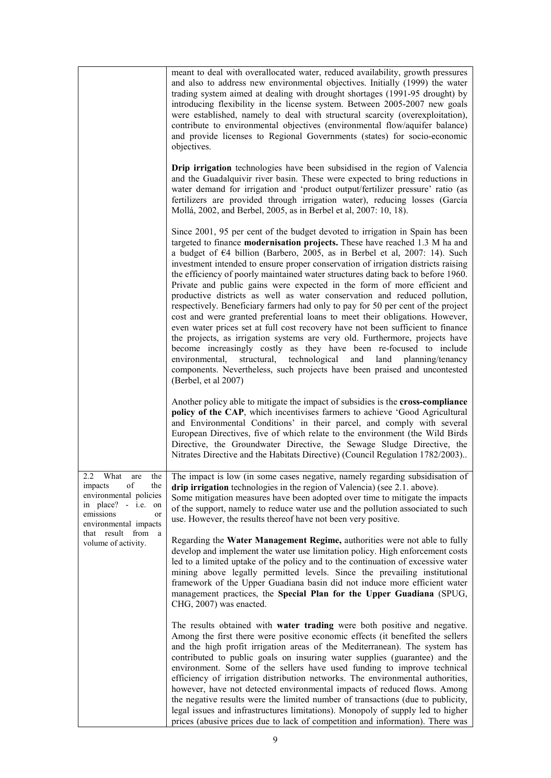|                                                                                                                                                     | meant to deal with overallocated water, reduced availability, growth pressures                                                                                                                                                                                                                                                                                                                                                                                                                                                                                                                                                                                                                                                                                                                                                                                                                                                                                                                                                                                                                                                                                                  |
|-----------------------------------------------------------------------------------------------------------------------------------------------------|---------------------------------------------------------------------------------------------------------------------------------------------------------------------------------------------------------------------------------------------------------------------------------------------------------------------------------------------------------------------------------------------------------------------------------------------------------------------------------------------------------------------------------------------------------------------------------------------------------------------------------------------------------------------------------------------------------------------------------------------------------------------------------------------------------------------------------------------------------------------------------------------------------------------------------------------------------------------------------------------------------------------------------------------------------------------------------------------------------------------------------------------------------------------------------|
|                                                                                                                                                     | and also to address new environmental objectives. Initially (1999) the water<br>trading system aimed at dealing with drought shortages (1991-95 drought) by<br>introducing flexibility in the license system. Between 2005-2007 new goals<br>were established, namely to deal with structural scarcity (overexploitation),<br>contribute to environmental objectives (environmental flow/aquifer balance)<br>and provide licenses to Regional Governments (states) for socio-economic<br>objectives.                                                                                                                                                                                                                                                                                                                                                                                                                                                                                                                                                                                                                                                                            |
|                                                                                                                                                     | Drip irrigation technologies have been subsidised in the region of Valencia<br>and the Guadalquivir river basin. These were expected to bring reductions in<br>water demand for irrigation and 'product output/fertilizer pressure' ratio (as<br>fertilizers are provided through irrigation water), reducing losses (García<br>Mollá, 2002, and Berbel, 2005, as in Berbel et al, 2007: 10, 18).                                                                                                                                                                                                                                                                                                                                                                                                                                                                                                                                                                                                                                                                                                                                                                               |
|                                                                                                                                                     | Since 2001, 95 per cent of the budget devoted to irrigation in Spain has been<br>targeted to finance modernisation projects. These have reached 1.3 M ha and<br>a budget of $64$ billion (Barbero, 2005, as in Berbel et al, 2007: 14). Such<br>investment intended to ensure proper conservation of irrigation districts raising<br>the efficiency of poorly maintained water structures dating back to before 1960.<br>Private and public gains were expected in the form of more efficient and<br>productive districts as well as water conservation and reduced pollution,<br>respectively. Beneficiary farmers had only to pay for 50 per cent of the project<br>cost and were granted preferential loans to meet their obligations. However,<br>even water prices set at full cost recovery have not been sufficient to finance<br>the projects, as irrigation systems are very old. Furthermore, projects have<br>become increasingly costly as they have been re-focused to include<br>structural, technological<br>and<br>environmental,<br>land planning/tenancy<br>components. Nevertheless, such projects have been praised and uncontested<br>(Berbel, et al 2007) |
|                                                                                                                                                     | Another policy able to mitigate the impact of subsidies is the cross-compliance<br>policy of the CAP, which incentivises farmers to achieve 'Good Agricultural<br>and Environmental Conditions' in their parcel, and comply with several<br>European Directives, five of which relate to the environment (the Wild Birds<br>Directive, the Groundwater Directive, the Sewage Sludge Directive, the<br>Nitrates Directive and the Habitats Directive) (Council Regulation 1782/2003)                                                                                                                                                                                                                                                                                                                                                                                                                                                                                                                                                                                                                                                                                             |
| 2.2<br>What<br>the<br>are<br>impacts<br>οf<br>the<br>environmental policies<br>in $place? - i.e.$<br>on<br>emissions<br>or<br>environmental impacts | The impact is low (in some cases negative, namely regarding subsidisation of<br>drip irrigation technologies in the region of Valencia) (see 2.1. above).<br>Some mitigation measures have been adopted over time to mitigate the impacts<br>of the support, namely to reduce water use and the pollution associated to such<br>use. However, the results thereof have not been very positive.                                                                                                                                                                                                                                                                                                                                                                                                                                                                                                                                                                                                                                                                                                                                                                                  |
| that result from<br>a<br>volume of activity.                                                                                                        | Regarding the Water Management Regime, authorities were not able to fully<br>develop and implement the water use limitation policy. High enforcement costs<br>led to a limited uptake of the policy and to the continuation of excessive water<br>mining above legally permitted levels. Since the prevailing institutional<br>framework of the Upper Guadiana basin did not induce more efficient water<br>management practices, the Special Plan for the Upper Guadiana (SPUG,<br>CHG, 2007) was enacted.                                                                                                                                                                                                                                                                                                                                                                                                                                                                                                                                                                                                                                                                     |
|                                                                                                                                                     | The results obtained with water trading were both positive and negative.<br>Among the first there were positive economic effects (it benefited the sellers<br>and the high profit irrigation areas of the Mediterranean). The system has<br>contributed to public goals on insuring water supplies (guarantee) and the<br>environment. Some of the sellers have used funding to improve technical<br>efficiency of irrigation distribution networks. The environmental authorities,<br>however, have not detected environmental impacts of reduced flows. Among<br>the negative results were the limited number of transactions (due to publicity,<br>legal issues and infrastructures limitations). Monopoly of supply led to higher<br>prices (abusive prices due to lack of competition and information). There was                                                                                                                                                                                                                                                                                                                                                          |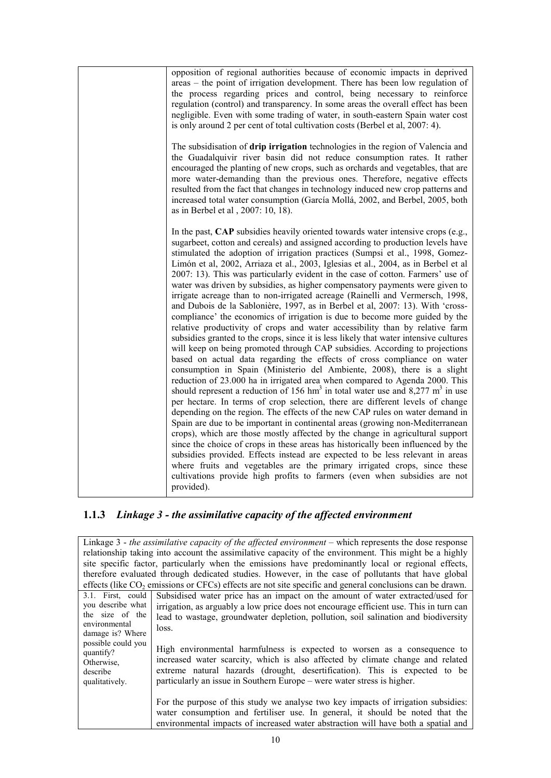| opposition of regional authorities because of economic impacts in deprived<br>areas – the point of irrigation development. There has been low regulation of<br>the process regarding prices and control, being necessary to reinforce<br>regulation (control) and transparency. In some areas the overall effect has been<br>negligible. Even with some trading of water, in south-eastern Spain water cost<br>is only around 2 per cent of total cultivation costs (Berbel et al, 2007: 4).                                                                                                                                                                                                                                                                                                                                                                                                                                                                                                                                                                                                                                                                                                                                                                                                                                                                                                                                                                                                                                                                                                                                                                                                                                                                                                                                                                                                                                                                                                                                                         |
|------------------------------------------------------------------------------------------------------------------------------------------------------------------------------------------------------------------------------------------------------------------------------------------------------------------------------------------------------------------------------------------------------------------------------------------------------------------------------------------------------------------------------------------------------------------------------------------------------------------------------------------------------------------------------------------------------------------------------------------------------------------------------------------------------------------------------------------------------------------------------------------------------------------------------------------------------------------------------------------------------------------------------------------------------------------------------------------------------------------------------------------------------------------------------------------------------------------------------------------------------------------------------------------------------------------------------------------------------------------------------------------------------------------------------------------------------------------------------------------------------------------------------------------------------------------------------------------------------------------------------------------------------------------------------------------------------------------------------------------------------------------------------------------------------------------------------------------------------------------------------------------------------------------------------------------------------------------------------------------------------------------------------------------------------|
| The subsidisation of drip irrigation technologies in the region of Valencia and<br>the Guadalquivir river basin did not reduce consumption rates. It rather<br>encouraged the planting of new crops, such as orchards and vegetables, that are<br>more water-demanding than the previous ones. Therefore, negative effects<br>resulted from the fact that changes in technology induced new crop patterns and<br>increased total water consumption (García Mollá, 2002, and Berbel, 2005, both<br>as in Berbel et al, 2007: 10, 18).                                                                                                                                                                                                                                                                                                                                                                                                                                                                                                                                                                                                                                                                                                                                                                                                                                                                                                                                                                                                                                                                                                                                                                                                                                                                                                                                                                                                                                                                                                                 |
| In the past, CAP subsidies heavily oriented towards water intensive crops (e.g.,<br>sugarbeet, cotton and cereals) and assigned according to production levels have<br>stimulated the adoption of irrigation practices (Sumpsi et al., 1998, Gomez-<br>Limón et al, 2002, Arriaza et al., 2003, Iglesias et al., 2004, as in Berbel et al<br>2007: 13). This was particularly evident in the case of cotton. Farmers' use of<br>water was driven by subsidies, as higher compensatory payments were given to<br>irrigate acreage than to non-irrigated acreage (Rainelli and Vermersch, 1998,<br>and Dubois de la Sablonière, 1997, as in Berbel et al, 2007: 13). With 'cross-<br>compliance' the economics of irrigation is due to become more guided by the<br>relative productivity of crops and water accessibility than by relative farm<br>subsidies granted to the crops, since it is less likely that water intensive cultures<br>will keep on being promoted through CAP subsidies. According to projections<br>based on actual data regarding the effects of cross compliance on water<br>consumption in Spain (Ministerio del Ambiente, 2008), there is a slight<br>reduction of 23.000 ha in irrigated area when compared to Agenda 2000. This<br>should represent a reduction of 156 hm <sup>3</sup> in total water use and 8,277 m <sup>3</sup> in use<br>per hectare. In terms of crop selection, there are different levels of change<br>depending on the region. The effects of the new CAP rules on water demand in<br>Spain are due to be important in continental areas (growing non-Mediterranean<br>crops), which are those mostly affected by the change in agricultural support<br>since the choice of crops in these areas has historically been influenced by the<br>subsidies provided. Effects instead are expected to be less relevant in areas<br>where fruits and vegetables are the primary irrigated crops, since these<br>cultivations provide high profits to farmers (even when subsidies are not<br>provided). |

# **1.1.3** *Linkage 3 - the assimilative capacity of the affected environment*

| Linkage $3$ - the assimilative capacity of the affected environment $-$ which represents the dose response |                                                                                                             |  |  |
|------------------------------------------------------------------------------------------------------------|-------------------------------------------------------------------------------------------------------------|--|--|
|                                                                                                            | relationship taking into account the assimilative capacity of the environment. This might be a highly       |  |  |
|                                                                                                            | site specific factor, particularly when the emissions have predominantly local or regional effects,         |  |  |
|                                                                                                            |                                                                                                             |  |  |
|                                                                                                            | therefore evaluated through dedicated studies. However, in the case of pollutants that have global          |  |  |
|                                                                                                            | effects (like $CO_2$ emissions or CFCs) effects are not site specific and general conclusions can be drawn. |  |  |
| 3.1. First, could                                                                                          | Subsidised water price has an impact on the amount of water extracted/used for                              |  |  |
| you describe what                                                                                          | irrigation, as arguably a low price does not encourage efficient use. This in turn can                      |  |  |
| the size of the                                                                                            | lead to wastage, groundwater depletion, pollution, soil salination and biodiversity                         |  |  |
| environmental                                                                                              |                                                                                                             |  |  |
| damage is? Where                                                                                           | loss.                                                                                                       |  |  |
|                                                                                                            |                                                                                                             |  |  |
| possible could you                                                                                         | High environmental harmfulness is expected to worsen as a consequence to                                    |  |  |
| quantify?                                                                                                  |                                                                                                             |  |  |
| Otherwise,                                                                                                 | increased water scarcity, which is also affected by climate change and related                              |  |  |
| describe                                                                                                   | extreme natural hazards (drought, desertification). This is expected to be                                  |  |  |
| qualitatively.                                                                                             | particularly an issue in Southern Europe – were water stress is higher.                                     |  |  |
|                                                                                                            |                                                                                                             |  |  |
|                                                                                                            |                                                                                                             |  |  |
|                                                                                                            | For the purpose of this study we analyse two key impacts of irrigation subsidies:                           |  |  |
|                                                                                                            | water consumption and fertiliser use. In general, it should be noted that the                               |  |  |
|                                                                                                            | environmental impacts of increased water abstraction will have both a spatial and                           |  |  |
|                                                                                                            |                                                                                                             |  |  |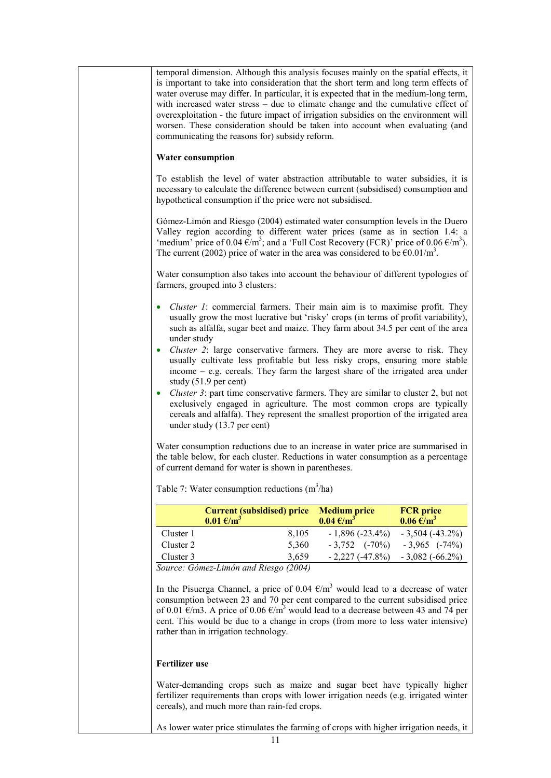| temporal dimension. Although this analysis focuses mainly on the spatial effects, it<br>is important to take into consideration that the short term and long term effects of<br>water overuse may differ. In particular, it is expected that in the medium-long term,<br>with increased water stress – due to climate change and the cumulative effect of<br>overexploitation - the future impact of irrigation subsidies on the environment will<br>worsen. These consideration should be taken into account when evaluating (and<br>communicating the reasons for) subsidy reform. |       |                                             |                                                 |
|--------------------------------------------------------------------------------------------------------------------------------------------------------------------------------------------------------------------------------------------------------------------------------------------------------------------------------------------------------------------------------------------------------------------------------------------------------------------------------------------------------------------------------------------------------------------------------------|-------|---------------------------------------------|-------------------------------------------------|
| <b>Water consumption</b>                                                                                                                                                                                                                                                                                                                                                                                                                                                                                                                                                             |       |                                             |                                                 |
| To establish the level of water abstraction attributable to water subsidies, it is<br>necessary to calculate the difference between current (subsidised) consumption and<br>hypothetical consumption if the price were not subsidised.                                                                                                                                                                                                                                                                                                                                               |       |                                             |                                                 |
| Gómez-Limón and Riesgo (2004) estimated water consumption levels in the Duero<br>Valley region according to different water prices (same as in section 1.4: a<br>'medium' price of 0.04 $\epsilon/m^3$ ; and a 'Full Cost Recovery (FCR)' price of 0.06 $\epsilon/m^3$ ).<br>The current (2002) price of water in the area was considered to be $\epsilon 0.01/m^3$ .                                                                                                                                                                                                                |       |                                             |                                                 |
| Water consumption also takes into account the behaviour of different typologies of<br>farmers, grouped into 3 clusters:                                                                                                                                                                                                                                                                                                                                                                                                                                                              |       |                                             |                                                 |
| <i>Cluster 1:</i> commercial farmers. Their main aim is to maximise profit. They<br>$\bullet$<br>usually grow the most lucrative but 'risky' crops (in terms of profit variability),<br>such as alfalfa, sugar beet and maize. They farm about 34.5 per cent of the area<br>under study                                                                                                                                                                                                                                                                                              |       |                                             |                                                 |
| <i>Cluster 2:</i> large conservative farmers. They are more averse to risk. They<br>$\bullet$<br>usually cultivate less profitable but less risky crops, ensuring more stable<br>income $-$ e.g. cereals. They farm the largest share of the irrigated area under<br>study $(51.9 \text{ per cent})$                                                                                                                                                                                                                                                                                 |       |                                             |                                                 |
| Cluster 3: part time conservative farmers. They are similar to cluster 2, but not<br>$\bullet$<br>exclusively engaged in agriculture. The most common crops are typically<br>cereals and alfalfa). They represent the smallest proportion of the irrigated area<br>under study $(13.7 \text{ per cent})$                                                                                                                                                                                                                                                                             |       |                                             |                                                 |
| Water consumption reductions due to an increase in water price are summarised in<br>the table below, for each cluster. Reductions in water consumption as a percentage<br>of current demand for water is shown in parentheses.                                                                                                                                                                                                                                                                                                                                                       |       |                                             |                                                 |
| Table 7: Water consumption reductions $(m^3/ha)$                                                                                                                                                                                                                                                                                                                                                                                                                                                                                                                                     |       |                                             |                                                 |
| <b>Current (subsidised) price</b><br>$0.01 \text{ E/m}^3$                                                                                                                                                                                                                                                                                                                                                                                                                                                                                                                            |       | <b>Medium price</b><br>$0.04 \text{ E/m}^3$ | <b>FCR</b> price<br>$0.06 \text{ }\epsilon/m^3$ |
| Cluster 1                                                                                                                                                                                                                                                                                                                                                                                                                                                                                                                                                                            | 8,105 | $-1,896(-23.4\%)$                           | $-3,504$ ( $-43.2\%$ )                          |
| Cluster 2                                                                                                                                                                                                                                                                                                                                                                                                                                                                                                                                                                            | 5,360 | $-3,752$ $(-70\%)$ $-3,965$ $(-74\%)$       |                                                 |
| Cluster 3                                                                                                                                                                                                                                                                                                                                                                                                                                                                                                                                                                            | 3,659 | $-2,227(-47.8\%) -3,082(-66.2\%)$           |                                                 |
| Source: Gómez-Limón and Riesgo (2004)<br>In the Pisuerga Channel, a price of 0.04 $\epsilon/m^3$ would lead to a decrease of water<br>consumption between 23 and 70 per cent compared to the current subsidised price<br>of 0.01 $\epsilon$ /m3. A price of 0.06 $\epsilon$ /m <sup>3</sup> would lead to a decrease between 43 and 74 per<br>cent. This would be due to a change in crops (from more to less water intensive)<br>rather than in irrigation technology.                                                                                                              |       |                                             |                                                 |
| <b>Fertilizer</b> use                                                                                                                                                                                                                                                                                                                                                                                                                                                                                                                                                                |       |                                             |                                                 |
| Water-demanding crops such as maize and sugar beet have typically higher<br>fertilizer requirements than crops with lower irrigation needs (e.g. irrigated winter<br>cereals), and much more than rain-fed crops.                                                                                                                                                                                                                                                                                                                                                                    |       |                                             |                                                 |
| As lower water price stimulates the farming of crops with higher irrigation needs, it                                                                                                                                                                                                                                                                                                                                                                                                                                                                                                |       |                                             |                                                 |
| 11                                                                                                                                                                                                                                                                                                                                                                                                                                                                                                                                                                                   |       |                                             |                                                 |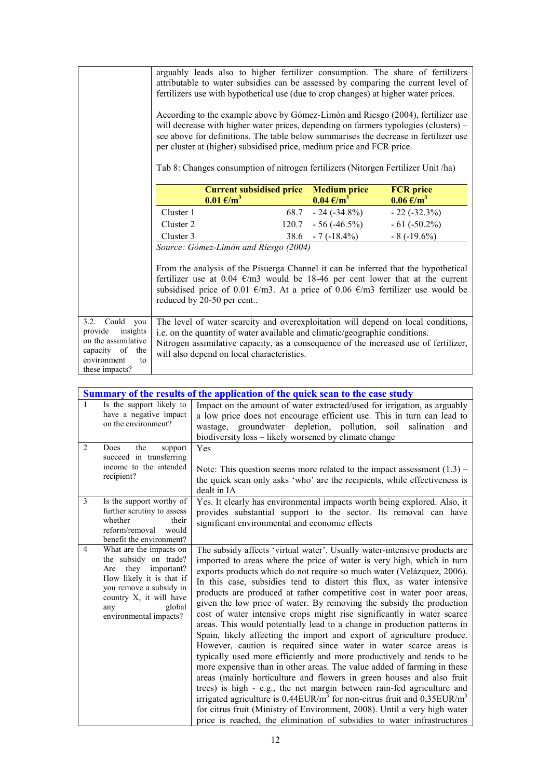|                                                                                                                                 | arguably leads also to higher fertilizer consumption. The share of fertilizers<br>attributable to water subsidies can be assessed by comparing the current level of<br>fertilizers use with hypothetical use (due to crop changes) at higher water prices.<br>According to the example above by Gómez-Limón and Riesgo (2004), fertilizer use<br>will decrease with higher water prices, depending on farmers typologies (clusters) -<br>see above for definitions. The table below summarises the decrease in fertilizer use<br>per cluster at (higher) subsidised price, medium price and FCR price.<br>Tab 8: Changes consumption of nitrogen fertilizers (Nitorgen Fertilizer Unit /ha) |                                             |                                                      |
|---------------------------------------------------------------------------------------------------------------------------------|---------------------------------------------------------------------------------------------------------------------------------------------------------------------------------------------------------------------------------------------------------------------------------------------------------------------------------------------------------------------------------------------------------------------------------------------------------------------------------------------------------------------------------------------------------------------------------------------------------------------------------------------------------------------------------------------|---------------------------------------------|------------------------------------------------------|
|                                                                                                                                 | <b>Current subsidised price</b><br>$0.01 \text{ E/m}^3$                                                                                                                                                                                                                                                                                                                                                                                                                                                                                                                                                                                                                                     | <b>Medium price</b><br>$0.04 \text{ E/m}^3$ | <b>FCR</b> price<br>$0.06 \text{ } \in / \text{m}^3$ |
|                                                                                                                                 | Cluster 1                                                                                                                                                                                                                                                                                                                                                                                                                                                                                                                                                                                                                                                                                   | $-24(-34.8\%)$<br>68.7                      | $-22(-32.3\%)$                                       |
|                                                                                                                                 | Cluster 2                                                                                                                                                                                                                                                                                                                                                                                                                                                                                                                                                                                                                                                                                   | $-56(-46.5%)$<br>120.7                      | $-61 (-50.2\%)$                                      |
|                                                                                                                                 | Cluster 3                                                                                                                                                                                                                                                                                                                                                                                                                                                                                                                                                                                                                                                                                   | $-7(-18.4\%)$<br>38.6                       | $-8(-19.6%)$                                         |
|                                                                                                                                 | Source: Gómez-Limón and Riesgo (2004)<br>From the analysis of the Pisuerga Channel it can be inferred that the hypothetical<br>fertilizer use at 0.04 $\epsilon$ /m3 would be 18-46 per cent lower that at the current<br>subsidised price of 0.01 $\epsilon/m$ 3. At a price of 0.06 $\epsilon/m$ 3 fertilizer use would be<br>reduced by 20-50 per cent                                                                                                                                                                                                                                                                                                                                   |                                             |                                                      |
| 3.2. Could<br>you<br>insights<br>provide<br>on the assimilative<br>capacity<br>of<br>the<br>environment<br>to<br>these impacts? | The level of water scarcity and overexploitation will depend on local conditions,<br>i.e. on the quantity of water available and climatic/geographic conditions.<br>Nitrogen assimilative capacity, as a consequence of the increased use of fertilizer,<br>will also depend on local characteristics.                                                                                                                                                                                                                                                                                                                                                                                      |                                             |                                                      |

|                | Summary of the results of the application of the quick scan to the case study                                                                                                                           |                                                                                                                                                                                                                                                                                                                                                                                                                                                                                                                                                                                                                                                                                                                                                                                                                                                                                                                                                                                                                                                                                                                                                                                                                                                                                                                                     |  |
|----------------|---------------------------------------------------------------------------------------------------------------------------------------------------------------------------------------------------------|-------------------------------------------------------------------------------------------------------------------------------------------------------------------------------------------------------------------------------------------------------------------------------------------------------------------------------------------------------------------------------------------------------------------------------------------------------------------------------------------------------------------------------------------------------------------------------------------------------------------------------------------------------------------------------------------------------------------------------------------------------------------------------------------------------------------------------------------------------------------------------------------------------------------------------------------------------------------------------------------------------------------------------------------------------------------------------------------------------------------------------------------------------------------------------------------------------------------------------------------------------------------------------------------------------------------------------------|--|
| $\mathbf{1}$   | Is the support likely to<br>have a negative impact<br>on the environment?                                                                                                                               | Impact on the amount of water extracted/used for irrigation, as arguably<br>a low price does not encourage efficient use. This in turn can lead to<br>wastage, groundwater depletion, pollution, soil<br>salination<br>and<br>biodiversity loss – likely worsened by climate change                                                                                                                                                                                                                                                                                                                                                                                                                                                                                                                                                                                                                                                                                                                                                                                                                                                                                                                                                                                                                                                 |  |
| 2              | Does<br>the<br>support<br>succeed in transferring<br>income to the intended<br>recipient?                                                                                                               | Yes<br>Note: This question seems more related to the impact assessment $(1.3)$ –<br>the quick scan only asks 'who' are the recipients, while effectiveness is<br>dealt in IA                                                                                                                                                                                                                                                                                                                                                                                                                                                                                                                                                                                                                                                                                                                                                                                                                                                                                                                                                                                                                                                                                                                                                        |  |
| 3              | Is the support worthy of<br>further scrutiny to assess<br>whether<br>their<br>reform/removal<br>would<br>benefit the environment?                                                                       | Yes. It clearly has environmental impacts worth being explored. Also, it<br>provides substantial support to the sector. Its removal can have<br>significant environmental and economic effects                                                                                                                                                                                                                                                                                                                                                                                                                                                                                                                                                                                                                                                                                                                                                                                                                                                                                                                                                                                                                                                                                                                                      |  |
| $\overline{4}$ | What are the impacts on<br>the subsidy on trade?<br>they important?<br>Are<br>How likely it is that if<br>you remove a subsidy in<br>country X, it will have<br>global<br>any<br>environmental impacts? | The subsidy affects 'virtual water'. Usually water-intensive products are<br>imported to areas where the price of water is very high, which in turn<br>exports products which do not require so much water (Velázquez, 2006).<br>In this case, subsidies tend to distort this flux, as water intensive<br>products are produced at rather competitive cost in water poor areas,<br>given the low price of water. By removing the subsidy the production<br>cost of water intensive crops might rise significantly in water scarce<br>areas. This would potentially lead to a change in production patterns in<br>Spain, likely affecting the import and export of agriculture produce.<br>However, caution is required since water in water scarce areas is<br>typically used more efficiently and more productively and tends to be<br>more expensive than in other areas. The value added of farming in these<br>areas (mainly horticulture and flowers in green houses and also fruit<br>trees) is high - e.g., the net margin between rain-fed agriculture and<br>irrigated agriculture is $0,44$ EUR/m <sup>3</sup> for non-citrus fruit and $0,35$ EUR/m <sup>3</sup><br>for citrus fruit (Ministry of Environment, 2008). Until a very high water<br>price is reached, the elimination of subsidies to water infrastructures |  |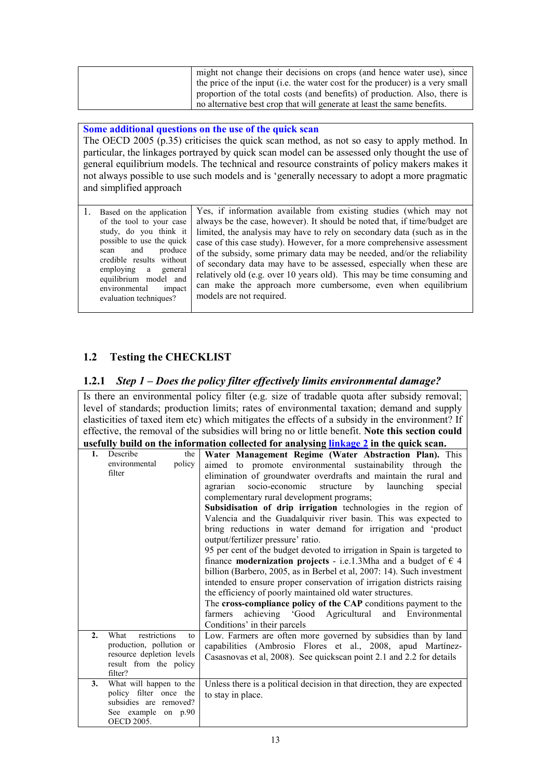| might not change their decisions on crops (and hence water use), since        |
|-------------------------------------------------------------------------------|
| the price of the input (i.e. the water cost for the producer) is a very small |
| proportion of the total costs (and benefits) of production. Also, there is    |
| no alternative best crop that will generate at least the same benefits.       |

#### **Some additional questions on the use of the quick scan**

The OECD 2005 (p.35) criticises the quick scan method, as not so easy to apply method. In particular, the linkages portrayed by quick scan model can be assessed only thought the use of general equilibrium models. The technical and resource constraints of policy makers makes it not always possible to use such models and is 'generally necessary to adopt a more pragmatic and simplified approach

1. Based on the application of the tool to your case study, do you think it possible to use the quick scan and produce credible results without employing a general equilibrium model and environmental impact evaluation techniques? Yes, if information available from existing studies (which may not always be the case, however). It should be noted that, if time/budget are limited, the analysis may have to rely on secondary data (such as in the case of this case study). However, for a more comprehensive assessment of the subsidy, some primary data may be needed, and/or the reliability of secondary data may have to be assessed, especially when these are relatively old (e.g. over 10 years old). This may be time consuming and can make the approach more cumbersome, even when equilibrium models are not required.

## **1.2 Testing the CHECKLIST**

## **1.2.1** *Step 1 – Does the policy filter effectively limits environmental damage?*

Is there an environmental policy filter (e.g. size of tradable quota after subsidy removal; level of standards; production limits; rates of environmental taxation; demand and supply elasticities of taxed item etc) which mitigates the effects of a subsidy in the environment? If effective, the removal of the subsidies will bring no or little benefit. **Note this section could usefully build on the information collected for analysing linkage 2 in the quick scan.**

|    |                                   | <u>suite</u> on the information concettu for unaryong <b>infinite</b> $\bullet$ in the quien seam |
|----|-----------------------------------|---------------------------------------------------------------------------------------------------|
| 1. | Describe<br>the                   | Water Management Regime (Water Abstraction Plan). This                                            |
|    | policy<br>environmental           | aimed to promote environmental sustainability through the                                         |
|    | filter                            | elimination of groundwater overdrafts and maintain the rural and                                  |
|    |                                   | socio-economic<br>by launching<br>agrarian<br>structure<br>special                                |
|    |                                   | complementary rural development programs;                                                         |
|    |                                   | Subsidisation of drip irrigation technologies in the region of                                    |
|    |                                   | Valencia and the Guadalquivir river basin. This was expected to                                   |
|    |                                   | bring reductions in water demand for irrigation and 'product                                      |
|    |                                   | output/fertilizer pressure' ratio.                                                                |
|    |                                   | 95 per cent of the budget devoted to irrigation in Spain is targeted to                           |
|    |                                   | finance <b>modernization projects</b> - i.e.1.3Mha and a budget of $\in$ 4                        |
|    |                                   | billion (Barbero, 2005, as in Berbel et al, 2007: 14). Such investment                            |
|    |                                   | intended to ensure proper conservation of irrigation districts raising                            |
|    |                                   | the efficiency of poorly maintained old water structures.                                         |
|    |                                   | The cross-compliance policy of the CAP conditions payment to the                                  |
|    |                                   | achieving 'Good Agricultural and Environmental<br>farmers                                         |
|    |                                   | Conditions' in their parcels                                                                      |
| 2. | restrictions<br>What<br>to        | Low. Farmers are often more governed by subsidies than by land                                    |
|    | production, pollution or          | capabilities (Ambrosio Flores et al., 2008, apud Martínez-                                        |
|    | resource depletion levels         | Casasnovas et al, 2008). See quickscan point 2.1 and 2.2 for details                              |
|    | result from the policy<br>filter? |                                                                                                   |
| 3. | What will happen to the           | Unless there is a political decision in that direction, they are expected                         |
|    | policy filter once the            |                                                                                                   |
|    | subsidies are removed?            | to stay in place.                                                                                 |
|    | See example on p.90               |                                                                                                   |
|    | <b>OECD 2005.</b>                 |                                                                                                   |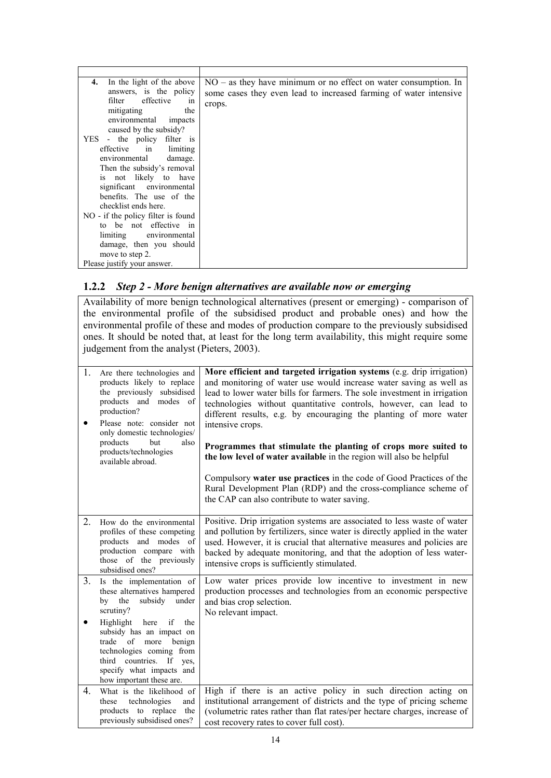| In the light of the above<br>4.<br>answers, is the policy<br>filter effective<br>1n<br>mitigating<br>the<br>environmental<br>impacts<br>caused by the subsidy?<br>YES - the policy filter is<br>effective in limiting<br>environmental damage.<br>Then the subsidy's removal<br>is not likely to have<br>significant environmental<br>benefits. The use of the<br>checklist ends here. | $NO - as$ they have minimum or no effect on water consumption. In<br>some cases they even lead to increased farming of water intensive<br>crops. |
|----------------------------------------------------------------------------------------------------------------------------------------------------------------------------------------------------------------------------------------------------------------------------------------------------------------------------------------------------------------------------------------|--------------------------------------------------------------------------------------------------------------------------------------------------|
| NO - if the policy filter is found<br>to be not effective in                                                                                                                                                                                                                                                                                                                           |                                                                                                                                                  |
| limiting environmental                                                                                                                                                                                                                                                                                                                                                                 |                                                                                                                                                  |
| damage, then you should                                                                                                                                                                                                                                                                                                                                                                |                                                                                                                                                  |
| move to step 2.                                                                                                                                                                                                                                                                                                                                                                        |                                                                                                                                                  |
| Please justify your answer.                                                                                                                                                                                                                                                                                                                                                            |                                                                                                                                                  |

## **1.2.2** *Step 2 - More benign alternatives are available now or emerging*

Availability of more benign technological alternatives (present or emerging) - comparison of the environmental profile of the subsidised product and probable ones) and how the environmental profile of these and modes of production compare to the previously subsidised ones. It should be noted that, at least for the long term availability, this might require some judgement from the analyst (Pieters, 2003).

| 1.               | Are there technologies and<br>products likely to replace<br>the previously subsidised<br>products and modes of<br>production?<br>Please note: consider not<br>only domestic technologies/<br>products<br>but<br>also<br>products/technologies<br>available abroad. | More efficient and targeted irrigation systems (e.g. drip irrigation)<br>and monitoring of water use would increase water saving as well as<br>lead to lower water bills for farmers. The sole investment in irrigation<br>technologies without quantitative controls, however, can lead to<br>different results, e.g. by encouraging the planting of more water<br>intensive crops.<br>Programmes that stimulate the planting of crops more suited to<br>the low level of water available in the region will also be helpful<br>Compulsory water use practices in the code of Good Practices of the<br>Rural Development Plan (RDP) and the cross-compliance scheme of<br>the CAP can also contribute to water saving. |
|------------------|--------------------------------------------------------------------------------------------------------------------------------------------------------------------------------------------------------------------------------------------------------------------|-------------------------------------------------------------------------------------------------------------------------------------------------------------------------------------------------------------------------------------------------------------------------------------------------------------------------------------------------------------------------------------------------------------------------------------------------------------------------------------------------------------------------------------------------------------------------------------------------------------------------------------------------------------------------------------------------------------------------|
| $\overline{2}$ . | How do the environmental<br>profiles of these competing<br>products and modes of<br>production compare with<br>those of the previously<br>subsidised ones?                                                                                                         | Positive. Drip irrigation systems are associated to less waste of water<br>and pollution by fertilizers, since water is directly applied in the water<br>used. However, it is crucial that alternative measures and policies are<br>backed by adequate monitoring, and that the adoption of less water-<br>intensive crops is sufficiently stimulated.                                                                                                                                                                                                                                                                                                                                                                  |
| 3.               | Is the implementation of<br>these alternatives hampered<br>by the<br>subsidy<br>under<br>scrutiny?                                                                                                                                                                 | Low water prices provide low incentive to investment in new<br>production processes and technologies from an economic perspective<br>and bias crop selection.<br>No relevant impact.                                                                                                                                                                                                                                                                                                                                                                                                                                                                                                                                    |
| ٠                | Highlight here if<br>the<br>subsidy has an impact on<br>trade of more benign<br>technologies coming from<br>third countries. If yes,<br>specify what impacts and<br>how important these are.                                                                       |                                                                                                                                                                                                                                                                                                                                                                                                                                                                                                                                                                                                                                                                                                                         |
| 4.               | What is the likelihood of<br>these<br>technologies<br>and<br>products to replace<br>the<br>previously subsidised ones?                                                                                                                                             | High if there is an active policy in such direction acting on<br>institutional arrangement of districts and the type of pricing scheme<br>(volumetric rates rather than flat rates/per hectare charges, increase of<br>cost recovery rates to cover full cost).                                                                                                                                                                                                                                                                                                                                                                                                                                                         |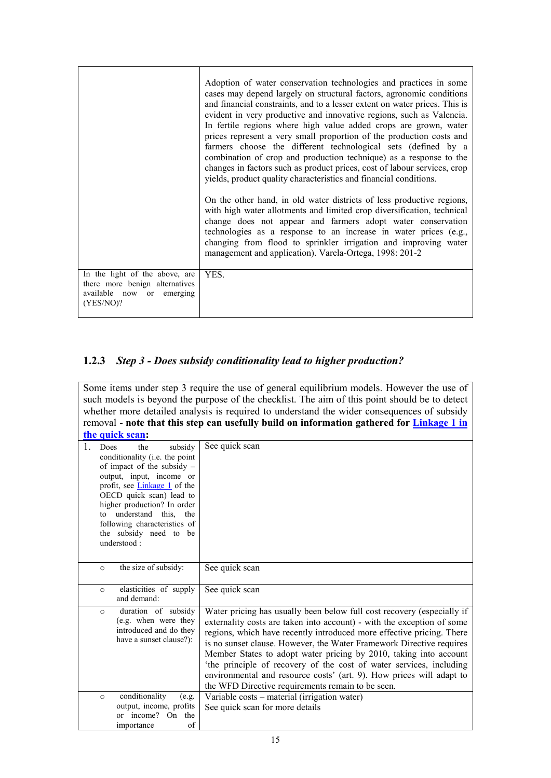|                                                                                                            | Adoption of water conservation technologies and practices in some<br>cases may depend largely on structural factors, agronomic conditions<br>and financial constraints, and to a lesser extent on water prices. This is<br>evident in very productive and innovative regions, such as Valencia.<br>In fertile regions where high value added crops are grown, water<br>prices represent a very small proportion of the production costs and<br>farmers choose the different technological sets (defined by a<br>combination of crop and production technique) as a response to the<br>changes in factors such as product prices, cost of labour services, crop<br>yields, product quality characteristics and financial conditions. |
|------------------------------------------------------------------------------------------------------------|-------------------------------------------------------------------------------------------------------------------------------------------------------------------------------------------------------------------------------------------------------------------------------------------------------------------------------------------------------------------------------------------------------------------------------------------------------------------------------------------------------------------------------------------------------------------------------------------------------------------------------------------------------------------------------------------------------------------------------------|
|                                                                                                            | On the other hand, in old water districts of less productive regions,<br>with high water allotments and limited crop diversification, technical<br>change does not appear and farmers adopt water conservation<br>technologies as a response to an increase in water prices (e.g.,<br>changing from flood to sprinkler irrigation and improving water<br>management and application). Varela-Ortega, 1998: 201-2                                                                                                                                                                                                                                                                                                                    |
| In the light of the above, are<br>there more benign alternatives<br>available now or emerging<br>(YES/NO)? | YES.                                                                                                                                                                                                                                                                                                                                                                                                                                                                                                                                                                                                                                                                                                                                |

# **1.2.3** *Step 3 - Does subsidy conditionality lead to higher production?*

Some items under step 3 require the use of general equilibrium models. However the use of such models is beyond the purpose of the checklist. The aim of this point should be to detect whether more detailed analysis is required to understand the wider consequences of subsidy removal - **note that this step can usefully build on information gathered for Linkage 1 in the quick scan:**

| Does    | subsidy<br>the<br>conditionality (i.e. the point | See quick scan                                                         |
|---------|--------------------------------------------------|------------------------------------------------------------------------|
|         |                                                  |                                                                        |
|         | of impact of the subsidy $-$                     |                                                                        |
|         | output, input, income or                         |                                                                        |
|         | profit, see <b>Linkage 1</b> of the              |                                                                        |
|         | OECD quick scan) lead to                         |                                                                        |
|         | higher production? In order                      |                                                                        |
| to      | understand this,<br>the                          |                                                                        |
|         | following characteristics of                     |                                                                        |
|         | the subsidy need to be                           |                                                                        |
|         | understood:                                      |                                                                        |
|         |                                                  |                                                                        |
| $\circ$ | the size of subsidy:                             | See quick scan                                                         |
|         |                                                  |                                                                        |
| $\circ$ | elasticities of supply                           | See quick scan                                                         |
|         | and demand:                                      |                                                                        |
|         |                                                  |                                                                        |
| $\circ$ | duration of subsidy                              | Water pricing has usually been below full cost recovery (especially if |
|         | (e.g. when were they                             | externality costs are taken into account) - with the exception of some |
|         | introduced and do they                           | regions, which have recently introduced more effective pricing. There  |
|         | have a sunset clause?):                          | is no sunset clause. However, the Water Framework Directive requires   |
|         |                                                  | Member States to adopt water pricing by 2010, taking into account      |
|         |                                                  | 'the principle of recovery of the cost of water services, including    |
|         |                                                  |                                                                        |
|         |                                                  | environmental and resource costs' (art. 9). How prices will adapt to   |
|         |                                                  | the WFD Directive requirements remain to be seen.                      |
| $\circ$ | conditionality<br>(e.g.                          | Variable costs – material (irrigation water)                           |
|         | output, income, profits                          |                                                                        |
|         |                                                  | See quick scan for more details                                        |
|         | or income? On<br>the<br>of<br>importance         |                                                                        |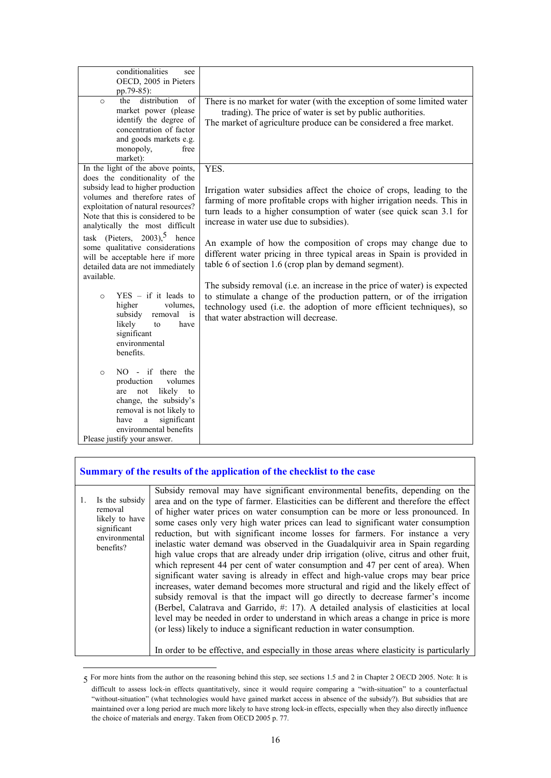| conditionalities<br>see<br>OECD, 2005 in Pieters<br>pp.79-85):                                                                                                                                                                                                                                                                                                                                                                                                          |                                                                                                                                                                                                                                                                                                                                                                                                                                                                                                                                                                                                                                    |
|-------------------------------------------------------------------------------------------------------------------------------------------------------------------------------------------------------------------------------------------------------------------------------------------------------------------------------------------------------------------------------------------------------------------------------------------------------------------------|------------------------------------------------------------------------------------------------------------------------------------------------------------------------------------------------------------------------------------------------------------------------------------------------------------------------------------------------------------------------------------------------------------------------------------------------------------------------------------------------------------------------------------------------------------------------------------------------------------------------------------|
| the distribution<br>$\overline{\text{of}}$<br>$\Omega$<br>market power (please<br>identify the degree of<br>concentration of factor<br>and goods markets e.g.<br>monopoly,<br>free<br>market):                                                                                                                                                                                                                                                                          | There is no market for water (with the exception of some limited water<br>trading). The price of water is set by public authorities.<br>The market of agriculture produce can be considered a free market.                                                                                                                                                                                                                                                                                                                                                                                                                         |
| In the light of the above points,<br>does the conditionality of the<br>subsidy lead to higher production<br>volumes and therefore rates of<br>exploitation of natural resources?<br>Note that this is considered to be.<br>analytically the most difficult<br>task (Pieters, $2003$ ), <sup>5</sup> hence<br>some qualitative considerations<br>will be acceptable here if more<br>detailed data are not immediately<br>available.<br>$YES - if it leads to$<br>$\circ$ | YES.<br>Irrigation water subsidies affect the choice of crops, leading to the<br>farming of more profitable crops with higher irrigation needs. This in<br>turn leads to a higher consumption of water (see quick scan 3.1 for<br>increase in water use due to subsidies).<br>An example of how the composition of crops may change due to<br>different water pricing in three typical areas in Spain is provided in<br>table 6 of section 1.6 (crop plan by demand segment).<br>The subsidy removal (i.e. an increase in the price of water) is expected<br>to stimulate a change of the production pattern, or of the irrigation |
| higher<br>volumes.<br>subsidy<br>removal<br>is<br>likely<br>to<br>have<br>significant<br>environmental<br>benefits.                                                                                                                                                                                                                                                                                                                                                     | technology used (i.e. the adoption of more efficient techniques), so<br>that water abstraction will decrease.                                                                                                                                                                                                                                                                                                                                                                                                                                                                                                                      |
| NO - if there the<br>$\circ$<br>production<br>volumes<br>likely to<br>not<br>are<br>change, the subsidy's<br>removal is not likely to<br>significant<br>a<br>have<br>environmental benefits<br>Please justify your answer.                                                                                                                                                                                                                                              |                                                                                                                                                                                                                                                                                                                                                                                                                                                                                                                                                                                                                                    |

### **Summary of the results of the application of the checklist to the case**

-

| Is the subsidy<br>removal<br>likely to have<br>significant<br>environmental<br>benefits? | Subsidy removal may have significant environmental benefits, depending on the<br>area and on the type of farmer. Elasticities can be different and therefore the effect<br>of higher water prices on water consumption can be more or less pronounced. In<br>some cases only very high water prices can lead to significant water consumption<br>reduction, but with significant income losses for farmers. For instance a very<br>inelastic water demand was observed in the Guadalquivir area in Spain regarding<br>high value crops that are already under drip irrigation (olive, citrus and other fruit,<br>which represent 44 per cent of water consumption and 47 per cent of area). When<br>significant water saving is already in effect and high-value crops may bear price<br>increases, water demand becomes more structural and rigid and the likely effect of<br>subsidy removal is that the impact will go directly to decrease farmer's income<br>(Berbel, Calatrava and Garrido, #: 17). A detailed analysis of elasticities at local<br>level may be needed in order to understand in which areas a change in price is more<br>(or less) likely to induce a significant reduction in water consumption.<br>In order to be effective, and especially in those areas where elasticity is particularly |
|------------------------------------------------------------------------------------------|-----------------------------------------------------------------------------------------------------------------------------------------------------------------------------------------------------------------------------------------------------------------------------------------------------------------------------------------------------------------------------------------------------------------------------------------------------------------------------------------------------------------------------------------------------------------------------------------------------------------------------------------------------------------------------------------------------------------------------------------------------------------------------------------------------------------------------------------------------------------------------------------------------------------------------------------------------------------------------------------------------------------------------------------------------------------------------------------------------------------------------------------------------------------------------------------------------------------------------------------------------------------------------------------------------------------------|

<sup>5</sup> For more hints from the author on the reasoning behind this step, see sections 1.5 and 2 in Chapter 2 OECD 2005. Note: It is difficult to assess lock-in effects quantitatively, since it would require comparing a "with-situation" to a counterfactual "without-situation" (what technologies would have gained market access in absence of the subsidy?). But subsidies that are maintained over a long period are much more likely to have strong lock-in effects, especially when they also directly influence the choice of materials and energy. Taken from OECD 2005 p. 77.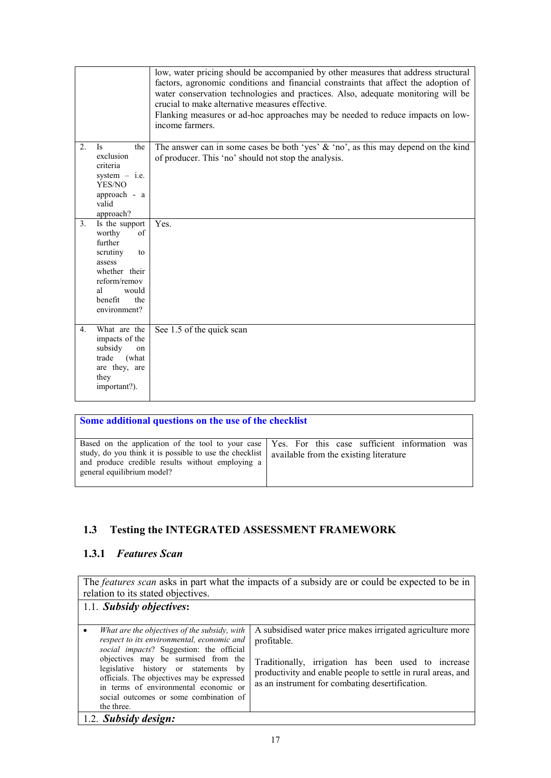|                |                                                                                                                                                         | low, water pricing should be accompanied by other measures that address structural<br>factors, agronomic conditions and financial constraints that affect the adoption of<br>water conservation technologies and practices. Also, adequate monitoring will be<br>crucial to make alternative measures effective.<br>Flanking measures or ad-hoc approaches may be needed to reduce impacts on low-<br>income farmers. |
|----------------|---------------------------------------------------------------------------------------------------------------------------------------------------------|-----------------------------------------------------------------------------------------------------------------------------------------------------------------------------------------------------------------------------------------------------------------------------------------------------------------------------------------------------------------------------------------------------------------------|
| 2 <sub>1</sub> | <b>Is</b><br>the<br>exclusion<br>criteria<br>system $-$ i.e.<br>YES/NO<br>approach - a<br>valid<br>approach?                                            | The answer can in some cases be both 'yes' $\&$ 'no', as this may depend on the kind<br>of producer. This 'no' should not stop the analysis.                                                                                                                                                                                                                                                                          |
| 3.             | Is the support<br>worthy<br>of<br>further<br>scrutiny<br>to<br>assess<br>whether their<br>reform/remov<br>would<br>al<br>benefit<br>the<br>environment? | Yes.                                                                                                                                                                                                                                                                                                                                                                                                                  |
| 4.             | What are the<br>impacts of the<br>subsidy<br>on<br>trade<br>(what<br>are they, are<br>they<br>important?).                                              | See 1.5 of the quick scan                                                                                                                                                                                                                                                                                                                                                                                             |

| Some additional questions on the use of the checklist                                                                                                                                                                                      |                                               |
|--------------------------------------------------------------------------------------------------------------------------------------------------------------------------------------------------------------------------------------------|-----------------------------------------------|
| Based on the application of the tool to your case   Yes. For this case sufficient information<br>study, do you think it is possible to use the checklist<br>and produce credible results without employing a<br>general equilibrium model? | was<br>available from the existing literature |

# **1.3 Testing the INTEGRATED ASSESSMENT FRAMEWORK**

## **1.3.1** *Features Scan*

The *features scan* asks in part what the impacts of a subsidy are or could be expected to be in relation to its stated objectives. 1.1. *Subsidy objectives***:**  • *What are the objectives of the subsidy, with respect to its environmental, economic and social impacts*? Suggestion: the official objectives may be surmised from the legislative history or statements by officials. The objectives may be expressed in terms of environmental economic or social outcomes or some combination of the three. A subsidised water price makes irrigated agriculture more profitable. Traditionally, irrigation has been used to increase productivity and enable people to settle in rural areas, and as an instrument for combating desertification. 1.2. *Subsidy design:*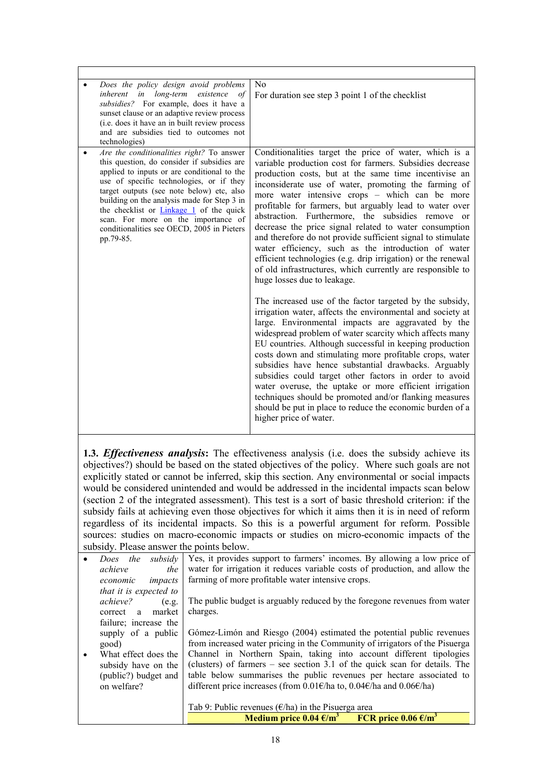| Does the policy design avoid problems<br>inherent in long-term existence of<br>subsidies? For example, does it have a<br>sunset clause or an adaptive review process<br>(i.e. does it have an in built review process<br>and are subsidies tied to outcomes not<br>technologies)                                                                                                                                                    | N <sub>0</sub><br>For duration see step 3 point 1 of the checklist                                                                                                                                                                                                                                                                                                                                                                                                                                                                                                                                                                                                                                                                                 |
|-------------------------------------------------------------------------------------------------------------------------------------------------------------------------------------------------------------------------------------------------------------------------------------------------------------------------------------------------------------------------------------------------------------------------------------|----------------------------------------------------------------------------------------------------------------------------------------------------------------------------------------------------------------------------------------------------------------------------------------------------------------------------------------------------------------------------------------------------------------------------------------------------------------------------------------------------------------------------------------------------------------------------------------------------------------------------------------------------------------------------------------------------------------------------------------------------|
| Are the conditionalities right? To answer<br>this question, do consider if subsidies are<br>applied to inputs or are conditional to the<br>use of specific technologies, or if they<br>target outputs (see note below) etc, also<br>building on the analysis made for Step 3 in<br>the checklist or <b>Linkage 1</b> of the quick<br>scan. For more on the importance of<br>conditionalities see OECD, 2005 in Pieters<br>pp.79-85. | Conditionalities target the price of water, which is a<br>variable production cost for farmers. Subsidies decrease<br>production costs, but at the same time incentivise an<br>inconsiderate use of water, promoting the farming of<br>more water intensive crops – which can be more<br>profitable for farmers, but arguably lead to water over<br>abstraction. Furthermore, the subsidies remove or<br>decrease the price signal related to water consumption<br>and therefore do not provide sufficient signal to stimulate<br>water efficiency, such as the introduction of water<br>efficient technologies (e.g. drip irrigation) or the renewal<br>of old infrastructures, which currently are responsible to<br>huge losses due to leakage. |
|                                                                                                                                                                                                                                                                                                                                                                                                                                     | The increased use of the factor targeted by the subsidy,<br>irrigation water, affects the environmental and society at<br>large. Environmental impacts are aggravated by the<br>widespread problem of water scarcity which affects many<br>EU countries. Although successful in keeping production<br>costs down and stimulating more profitable crops, water<br>subsidies have hence substantial drawbacks. Arguably<br>subsidies could target other factors in order to avoid<br>water overuse, the uptake or more efficient irrigation<br>techniques should be promoted and/or flanking measures<br>should be put in place to reduce the economic burden of a<br>higher price of water.                                                         |

**1.3.** *Effectiveness analysis***:** The effectiveness analysis (i.e. does the subsidy achieve its objectives?) should be based on the stated objectives of the policy. Where such goals are not explicitly stated or cannot be inferred, skip this section. Any environmental or social impacts would be considered unintended and would be addressed in the incidental impacts scan below (section 2 of the integrated assessment). This test is a sort of basic threshold criterion: if the subsidy fails at achieving even those objectives for which it aims then it is in need of reform regardless of its incidental impacts. So this is a powerful argument for reform. Possible sources: studies on macro-economic impacts or studies on micro-economic impacts of the subsidy. Please answer the points below.

|                        | Medium price 0.04 $\epsilon/m^3$ FCR price 0.06 $\epsilon/m^3$                                                |
|------------------------|---------------------------------------------------------------------------------------------------------------|
|                        | Tab 9: Public revenues ( $\epsilon$ /ha) in the Pisuerga area                                                 |
| on welfare?            | different price increases (from 0.01 $\varepsilon$ /ha to, 0.04 $\varepsilon$ /ha and 0.06 $\varepsilon$ /ha) |
| (public?) budget and   | table below summarises the public revenues per hectare associated to                                          |
| subsidy have on the    | (clusters) of farmers $-$ see section 3.1 of the quick scan for details. The                                  |
| What effect does the   | Channel in Northern Spain, taking into account different tipologies                                           |
| good)                  | from increased water pricing in the Community of irrigators of the Pisuerga                                   |
| supply of a public     | Gómez-Limón and Riesgo (2004) estimated the potential public revenues                                         |
| failure; increase the  |                                                                                                               |
| market<br>correct a    | charges.                                                                                                      |
| achieve?<br>(e.g.      | The public budget is arguably reduced by the foregone revenues from water                                     |
| that it is expected to |                                                                                                               |
| impacts<br>economic    | farming of more profitable water intensive crops.                                                             |
| achieve<br>the         | water for irrigation it reduces variable costs of production, and allow the                                   |
| subsidy<br>the<br>Does | Yes, it provides support to farmers' incomes. By allowing a low price of                                      |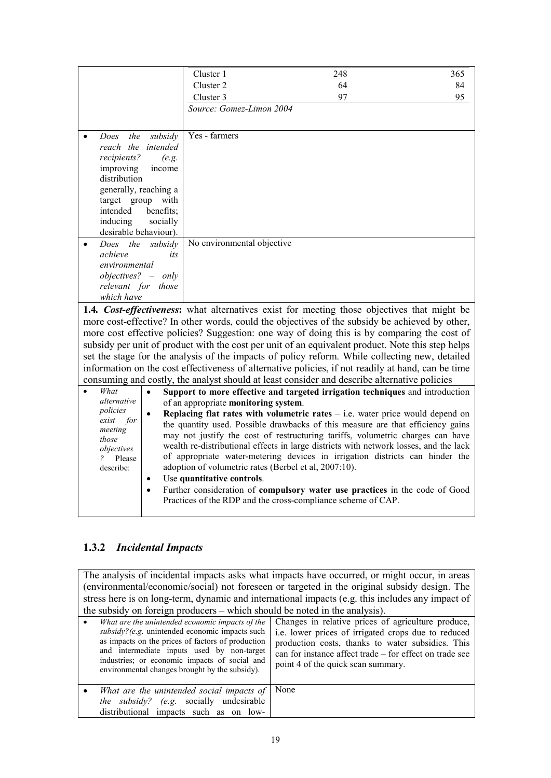|                                       | Cluster 1                            | 248                                                                                                                                                                | 365 |
|---------------------------------------|--------------------------------------|--------------------------------------------------------------------------------------------------------------------------------------------------------------------|-----|
|                                       | Cluster 2                            | 64                                                                                                                                                                 | 84  |
|                                       | Cluster 3                            | 97                                                                                                                                                                 | 95  |
|                                       | Source: Gomez-Limon 2004             |                                                                                                                                                                    |     |
|                                       |                                      |                                                                                                                                                                    |     |
| the                                   | Yes - farmers                        |                                                                                                                                                                    |     |
| subsidy<br>Does<br>reach the intended |                                      |                                                                                                                                                                    |     |
| recipients?<br>(e.g.                  |                                      |                                                                                                                                                                    |     |
| improving<br>income                   |                                      |                                                                                                                                                                    |     |
| distribution                          |                                      |                                                                                                                                                                    |     |
| generally, reaching a                 |                                      |                                                                                                                                                                    |     |
| target group<br>with                  |                                      |                                                                                                                                                                    |     |
| intended<br>benefits;                 |                                      |                                                                                                                                                                    |     |
| inducing<br>socially                  |                                      |                                                                                                                                                                    |     |
| desirable behaviour).                 |                                      |                                                                                                                                                                    |     |
| Does the<br>subsidy                   | No environmental objective           |                                                                                                                                                                    |     |
| achieve<br>its                        |                                      |                                                                                                                                                                    |     |
| environmental                         |                                      |                                                                                                                                                                    |     |
| $objects? - only$                     |                                      |                                                                                                                                                                    |     |
| relevant for those                    |                                      |                                                                                                                                                                    |     |
| which have                            |                                      |                                                                                                                                                                    |     |
|                                       |                                      | 1.4. Cost-effectiveness: what alternatives exist for meeting those objectives that might be                                                                        |     |
|                                       |                                      | more cost-effective? In other words, could the objectives of the subsidy be achieved by other,                                                                     |     |
|                                       |                                      | more cost effective policies? Suggestion: one way of doing this is by comparing the cost of                                                                        |     |
|                                       |                                      | subsidy per unit of product with the cost per unit of an equivalent product. Note this step helps                                                                  |     |
|                                       |                                      | set the stage for the analysis of the impacts of policy reform. While collecting new, detailed                                                                     |     |
|                                       |                                      | information on the cost effectiveness of alternative policies, if not readily at hand, can be time                                                                 |     |
|                                       |                                      | consuming and costly, the analyst should at least consider and describe alternative policies                                                                       |     |
| What<br>$\bullet$                     |                                      | Support to more effective and targeted irrigation techniques and introduction                                                                                      |     |
| alternative                           | of an appropriate monitoring system. |                                                                                                                                                                    |     |
| policies                              |                                      |                                                                                                                                                                    |     |
| for<br>exist                          |                                      | Replacing flat rates with volumetric rates $-$ i.e. water price would depend on<br>the quantity used. Possible drawbacks of this measure are that efficiency gains |     |
| meeting                               |                                      | may not justify the cost of restructuring tariffs, volumetric charges can have                                                                                     |     |
| those                                 |                                      | wealth re-distributional effects in large districts with network losses, and the lack                                                                              |     |
| objectives                            |                                      | of appropriate water-metering devices in irrigation districts can hinder the                                                                                       |     |
| Please<br>describe:                   |                                      | adoption of volumetric rates (Berbel et al, 2007:10).                                                                                                              |     |
| ٠                                     | Use quantitative controls.           |                                                                                                                                                                    |     |
|                                       |                                      |                                                                                                                                                                    |     |
|                                       |                                      |                                                                                                                                                                    |     |
|                                       |                                      | Further consideration of compulsory water use practices in the code of Good<br>Practices of the RDP and the cross-compliance scheme of CAP.                        |     |

# **1.3.2** *Incidental Impacts*

The analysis of incidental impacts asks what impacts have occurred, or might occur, in areas (environmental/economic/social) not foreseen or targeted in the original subsidy design. The stress here is on long-term, dynamic and international impacts (e.g. this includes any impact of the subsidy on foreign producers – which should be noted in the analysis).

| What are the unintended economic impacts of the<br>subsidy?(e.g. unintended economic impacts such<br>as impacts on the prices of factors of production<br>and intermediate inputs used by non-target<br>industries; or economic impacts of social and<br>environmental changes brought by the subsidy). | Changes in relative prices of agriculture produce,<br>i.e. lower prices of irrigated crops due to reduced<br>production costs, thanks to water subsidies. This<br>can for instance affect trade – for effect on trade see<br>point 4 of the quick scan summary. |
|---------------------------------------------------------------------------------------------------------------------------------------------------------------------------------------------------------------------------------------------------------------------------------------------------------|-----------------------------------------------------------------------------------------------------------------------------------------------------------------------------------------------------------------------------------------------------------------|
| What are the unintended social impacts of $\vert$ None<br>the subsidy? (e.g. socially undesirable<br>distributional impacts such as on low-                                                                                                                                                             |                                                                                                                                                                                                                                                                 |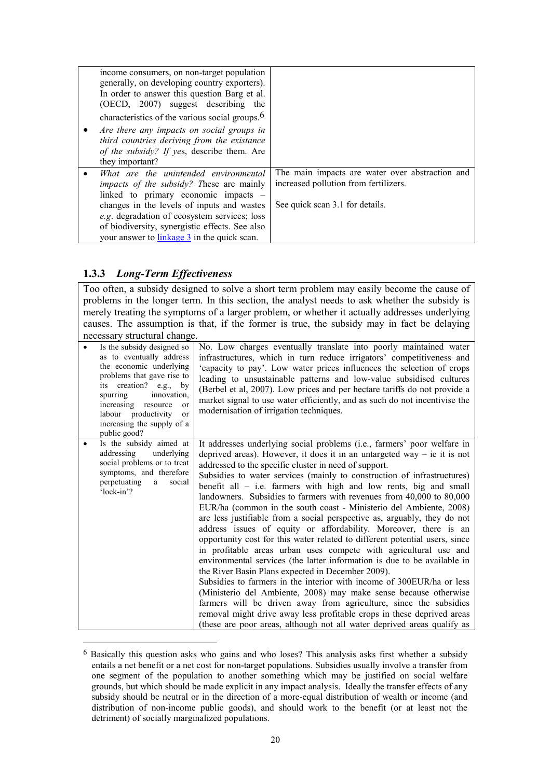| income consumers, on non-target population<br>generally, on developing country exporters).<br>In order to answer this question Barg et al.<br>(OECD, 2007) suggest describing<br>the<br>characteristics of the various social groups. <sup>6</sup>                                                                       |                                                                                                                             |
|--------------------------------------------------------------------------------------------------------------------------------------------------------------------------------------------------------------------------------------------------------------------------------------------------------------------------|-----------------------------------------------------------------------------------------------------------------------------|
| Are there any impacts on social groups in<br>third countries deriving from the existance<br>of the subsidy? If yes, describe them. Are<br>they important?                                                                                                                                                                |                                                                                                                             |
| What are the unintended environmental<br>impacts of the subsidy? These are mainly<br>linked to primary economic impacts –<br>changes in the levels of inputs and wastes<br>e.g. degradation of ecosystem services; loss<br>of biodiversity, synergistic effects. See also<br>your answer to linkage 3 in the quick scan. | The main impacts are water over abstraction and<br>increased pollution from fertilizers.<br>See quick scan 3.1 for details. |

## **1.3.3** *Long-Term Effectiveness*

<u>.</u>

Too often, a subsidy designed to solve a short term problem may easily become the cause of problems in the longer term. In this section, the analyst needs to ask whether the subsidy is merely treating the symptoms of a larger problem, or whether it actually addresses underlying causes. The assumption is that, if the former is true, the subsidy may in fact be delaying necessary structural change.

| Is the subsidy designed so<br>as to eventually address<br>the economic underlying<br>problems that gave rise to<br>its creation? e.g., by<br>spurring<br>innovation,<br>increasing resource<br><sub>or</sub><br>labour productivity<br><sub>or</sub><br>increasing the supply of a<br>public good? | No. Low charges eventually translate into poorly maintained water<br>infrastructures, which in turn reduce irrigators' competitiveness and<br>'capacity to pay'. Low water prices influences the selection of crops<br>leading to unsustainable patterns and low-value subsidised cultures<br>(Berbel et al, 2007). Low prices and per hectare tariffs do not provide a<br>market signal to use water efficiently, and as such do not incentivise the<br>modernisation of irrigation techniques.                                                                                                                                                                                                                                                                                                                                                                                                                                                                                                                                                                                                                                                                                                                                                                                                                          |
|----------------------------------------------------------------------------------------------------------------------------------------------------------------------------------------------------------------------------------------------------------------------------------------------------|---------------------------------------------------------------------------------------------------------------------------------------------------------------------------------------------------------------------------------------------------------------------------------------------------------------------------------------------------------------------------------------------------------------------------------------------------------------------------------------------------------------------------------------------------------------------------------------------------------------------------------------------------------------------------------------------------------------------------------------------------------------------------------------------------------------------------------------------------------------------------------------------------------------------------------------------------------------------------------------------------------------------------------------------------------------------------------------------------------------------------------------------------------------------------------------------------------------------------------------------------------------------------------------------------------------------------|
| Is the subsidy aimed at<br>addressing<br>underlying<br>social problems or to treat<br>symptoms, and therefore<br>perpetuating<br>social<br>a<br>'lock-in'?                                                                                                                                         | It addresses underlying social problems (i.e., farmers' poor welfare in<br>deprived areas). However, it does it in an untargeted way $-$ ie it is not<br>addressed to the specific cluster in need of support.<br>Subsidies to water services (mainly to construction of infrastructures)<br>benefit all $-$ i.e. farmers with high and low rents, big and small<br>landowners. Subsidies to farmers with revenues from 40,000 to 80,000<br>EUR/ha (common in the south coast - Ministerio del Ambiente, 2008)<br>are less justifiable from a social perspective as, arguably, they do not<br>address issues of equity or affordability. Moreover, there is an<br>opportunity cost for this water related to different potential users, since<br>in profitable areas urban uses compete with agricultural use and<br>environmental services (the latter information is due to be available in<br>the River Basin Plans expected in December 2009).<br>Subsidies to farmers in the interior with income of 300EUR/ha or less<br>(Ministerio del Ambiente, 2008) may make sense because otherwise<br>farmers will be driven away from agriculture, since the subsidies<br>removal might drive away less profitable crops in these deprived areas<br>(these are poor areas, although not all water deprived areas qualify as |

<sup>6</sup> Basically this question asks who gains and who loses? This analysis asks first whether a subsidy entails a net benefit or a net cost for non-target populations. Subsidies usually involve a transfer from one segment of the population to another something which may be justified on social welfare grounds, but which should be made explicit in any impact analysis. Ideally the transfer effects of any subsidy should be neutral or in the direction of a more-equal distribution of wealth or income (and distribution of non-income public goods), and should work to the benefit (or at least not the detriment) of socially marginalized populations.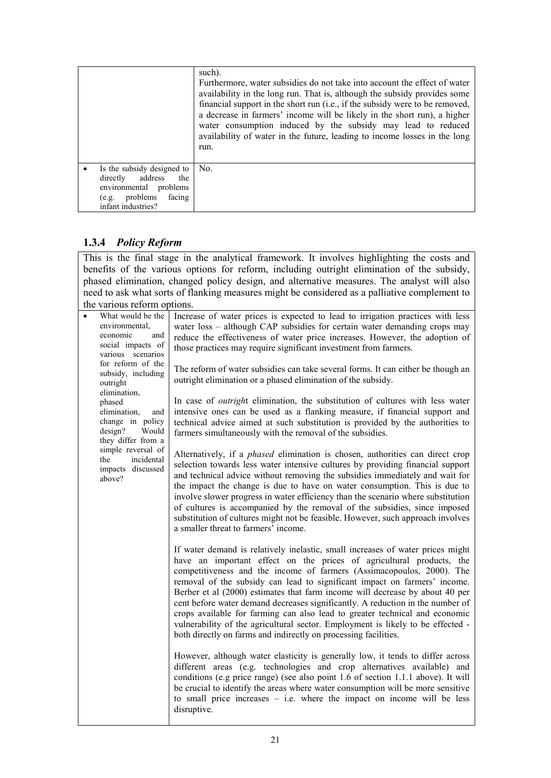|                                                                                                                                            | such).<br>Furthermore, water subsidies do not take into account the effect of water<br>availability in the long run. That is, although the subsidy provides some<br>financial support in the short run (i.e., if the subsidy were to be removed,<br>a decrease in farmers' income will be likely in the short run), a higher<br>water consumption induced by the subsidy may lead to reduced<br>availability of water in the future, leading to income losses in the long<br>run. |
|--------------------------------------------------------------------------------------------------------------------------------------------|-----------------------------------------------------------------------------------------------------------------------------------------------------------------------------------------------------------------------------------------------------------------------------------------------------------------------------------------------------------------------------------------------------------------------------------------------------------------------------------|
| Is the subsidy designed to<br>address<br>directly<br>the<br>environmental<br>problems<br>problems<br>facing<br>(e.g.<br>infant industries? | No.                                                                                                                                                                                                                                                                                                                                                                                                                                                                               |

# **1.3.4** *Policy Reform*

This is the final stage in the analytical framework. It involves highlighting the costs and benefits of the various options for reform, including outright elimination of the subsidy, phased elimination, changed policy design, and alternative measures. The analyst will also need to ask what sorts of flanking measures might be considered as a palliative complement to the various reform options.

| $\bullet$ | What would be the        | Increase of water prices is expected to lead to irrigation practices with less       |
|-----------|--------------------------|--------------------------------------------------------------------------------------|
|           | environmental,           | water loss – although CAP subsidies for certain water demanding crops may            |
|           | economic<br>and          | reduce the effectiveness of water price increases. However, the adoption of          |
|           | social impacts of        | those practices may require significant investment from farmers.                     |
|           | various scenarios        |                                                                                      |
|           | for reform of the        | The reform of water subsidies can take several forms. It can either be though an     |
|           | subsidy, including       | outright elimination or a phased elimination of the subsidy.                         |
|           | outright<br>elimination, |                                                                                      |
|           | phased                   | In case of <i>outright</i> elimination, the substitution of cultures with less water |
|           | elimination,<br>and      | intensive ones can be used as a flanking measure, if financial support and           |
|           | change in policy         | technical advice aimed at such substitution is provided by the authorities to        |
|           | design?<br>Would         | farmers simultaneously with the removal of the subsidies.                            |
|           | they differ from a       |                                                                                      |
|           | simple reversal of       | Alternatively, if a <i>phased</i> elimination is chosen, authorities can direct crop |
|           | incidental<br>the        | selection towards less water intensive cultures by providing financial support       |
|           | impacts discussed        | and technical advice without removing the subsidies immediately and wait for         |
|           | above?                   | the impact the change is due to have on water consumption. This is due to            |
|           |                          | involve slower progress in water efficiency than the scenario where substitution     |
|           |                          | of cultures is accompanied by the removal of the subsidies, since imposed            |
|           |                          | substitution of cultures might not be feasible. However, such approach involves      |
|           |                          | a smaller threat to farmers' income.                                                 |
|           |                          |                                                                                      |
|           |                          | If water demand is relatively inelastic, small increases of water prices might       |
|           |                          | have an important effect on the prices of agricultural products, the                 |
|           |                          | competitiveness and the income of farmers (Assimacopoulos, 2000). The                |
|           |                          | removal of the subsidy can lead to significant impact on farmers' income.            |
|           |                          | Berber et al (2000) estimates that farm income will decrease by about 40 per         |
|           |                          | cent before water demand decreases significantly. A reduction in the number of       |
|           |                          | crops available for farming can also lead to greater technical and economic          |
|           |                          | vulnerability of the agricultural sector. Employment is likely to be effected -      |
|           |                          | both directly on farms and indirectly on processing facilities.                      |
|           |                          |                                                                                      |
|           |                          | However, although water elasticity is generally low, it tends to differ across       |
|           |                          | different areas (e.g. technologies and crop alternatives available) and              |
|           |                          | conditions (e.g price range) (see also point 1.6 of section 1.1.1 above). It will    |
|           |                          | be crucial to identify the areas where water consumption will be more sensitive      |
|           |                          | to small price increases $-$ i.e. where the impact on income will be less            |
|           |                          | disruptive.                                                                          |
|           |                          |                                                                                      |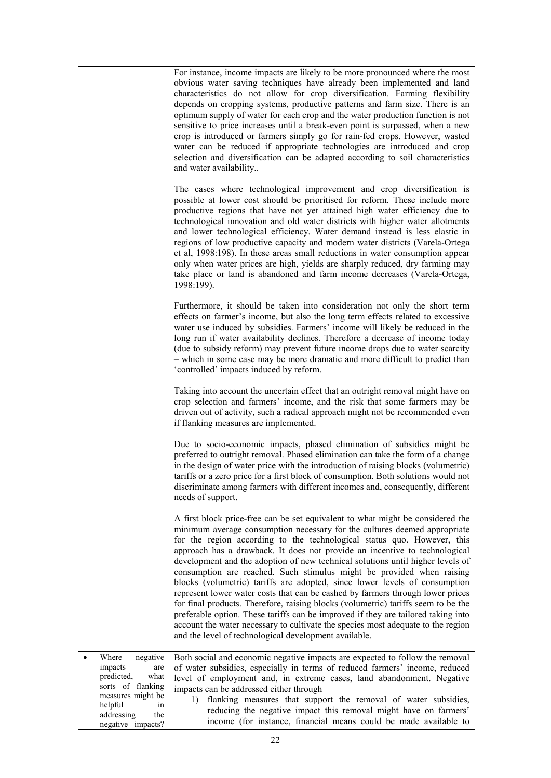|                                                                                                                                                                | For instance, income impacts are likely to be more pronounced where the most<br>obvious water saving techniques have already been implemented and land<br>characteristics do not allow for crop diversification. Farming flexibility<br>depends on cropping systems, productive patterns and farm size. There is an<br>optimum supply of water for each crop and the water production function is not<br>sensitive to price increases until a break-even point is surpassed, when a new<br>crop is introduced or farmers simply go for rain-fed crops. However, wasted<br>water can be reduced if appropriate technologies are introduced and crop<br>selection and diversification can be adapted according to soil characteristics<br>and water availability<br>The cases where technological improvement and crop diversification is<br>possible at lower cost should be prioritised for reform. These include more<br>productive regions that have not yet attained high water efficiency due to<br>technological innovation and old water districts with higher water allotments<br>and lower technological efficiency. Water demand instead is less elastic in<br>regions of low productive capacity and modern water districts (Varela-Ortega<br>et al, 1998:198). In these areas small reductions in water consumption appear<br>only when water prices are high, yields are sharply reduced, dry farming may<br>take place or land is abandoned and farm income decreases (Varela-Ortega,<br>1998:199).<br>Furthermore, it should be taken into consideration not only the short term<br>effects on farmer's income, but also the long term effects related to excessive<br>water use induced by subsidies. Farmers' income will likely be reduced in the<br>long run if water availability declines. Therefore a decrease of income today<br>(due to subsidy reform) may prevent future income drops due to water scarcity<br>- which in some case may be more dramatic and more difficult to predict than<br>'controlled' impacts induced by reform.<br>Taking into account the uncertain effect that an outright removal might have on<br>crop selection and farmers' income, and the risk that some farmers may be<br>driven out of activity, such a radical approach might not be recommended even<br>if flanking measures are implemented.<br>Due to socio-economic impacts, phased elimination of subsidies might be<br>preferred to outright removal. Phased elimination can take the form of a change<br>in the design of water price with the introduction of raising blocks (volumetric) |
|----------------------------------------------------------------------------------------------------------------------------------------------------------------|--------------------------------------------------------------------------------------------------------------------------------------------------------------------------------------------------------------------------------------------------------------------------------------------------------------------------------------------------------------------------------------------------------------------------------------------------------------------------------------------------------------------------------------------------------------------------------------------------------------------------------------------------------------------------------------------------------------------------------------------------------------------------------------------------------------------------------------------------------------------------------------------------------------------------------------------------------------------------------------------------------------------------------------------------------------------------------------------------------------------------------------------------------------------------------------------------------------------------------------------------------------------------------------------------------------------------------------------------------------------------------------------------------------------------------------------------------------------------------------------------------------------------------------------------------------------------------------------------------------------------------------------------------------------------------------------------------------------------------------------------------------------------------------------------------------------------------------------------------------------------------------------------------------------------------------------------------------------------------------------------------------------------------------------------------------------------------------------------------------------------------------------------------------------------------------------------------------------------------------------------------------------------------------------------------------------------------------------------------------------------------------------------------------------------------------------------------------------------------------------------------------------------------------------------------------------------------------------------------------|
|                                                                                                                                                                | tariffs or a zero price for a first block of consumption. Both solutions would not<br>discriminate among farmers with different incomes and, consequently, different<br>needs of support.                                                                                                                                                                                                                                                                                                                                                                                                                                                                                                                                                                                                                                                                                                                                                                                                                                                                                                                                                                                                                                                                                                                                                                                                                                                                                                                                                                                                                                                                                                                                                                                                                                                                                                                                                                                                                                                                                                                                                                                                                                                                                                                                                                                                                                                                                                                                                                                                                    |
|                                                                                                                                                                | A first block price-free can be set equivalent to what might be considered the<br>minimum average consumption necessary for the cultures deemed appropriate<br>for the region according to the technological status quo. However, this<br>approach has a drawback. It does not provide an incentive to technological<br>development and the adoption of new technical solutions until higher levels of<br>consumption are reached. Such stimulus might be provided when raising<br>blocks (volumetric) tariffs are adopted, since lower levels of consumption<br>represent lower water costs that can be cashed by farmers through lower prices<br>for final products. Therefore, raising blocks (volumetric) tariffs seem to be the<br>preferable option. These tariffs can be improved if they are tailored taking into<br>account the water necessary to cultivate the species most adequate to the region<br>and the level of technological development available.                                                                                                                                                                                                                                                                                                                                                                                                                                                                                                                                                                                                                                                                                                                                                                                                                                                                                                                                                                                                                                                                                                                                                                                                                                                                                                                                                                                                                                                                                                                                                                                                                                       |
| Where<br>negative<br>impacts<br>are<br>predicted,<br>what<br>sorts of flanking<br>measures might be<br>helpful<br>ın<br>addressing<br>the<br>negative impacts? | Both social and economic negative impacts are expected to follow the removal<br>of water subsidies, especially in terms of reduced farmers' income, reduced<br>level of employment and, in extreme cases, land abandonment. Negative<br>impacts can be addressed either through<br>flanking measures that support the removal of water subsidies,<br>1)<br>reducing the negative impact this removal might have on farmers'<br>income (for instance, financial means could be made available to                                                                                                                                                                                                                                                                                                                                                                                                                                                                                                                                                                                                                                                                                                                                                                                                                                                                                                                                                                                                                                                                                                                                                                                                                                                                                                                                                                                                                                                                                                                                                                                                                                                                                                                                                                                                                                                                                                                                                                                                                                                                                                              |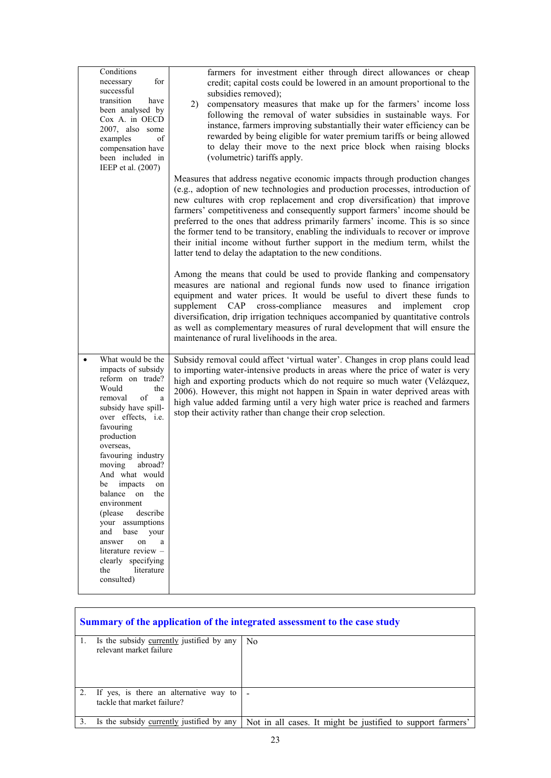| Conditions<br>for<br>necessary<br>successful                                                                                                                                                                                                                                                                                                                                                                                                                                                 | farmers for investment either through direct allowances or cheap<br>credit; capital costs could be lowered in an amount proportional to the<br>subsidies removed);                                                                                                                                                                                                                                                                                                                                                                                                                                                                         |
|----------------------------------------------------------------------------------------------------------------------------------------------------------------------------------------------------------------------------------------------------------------------------------------------------------------------------------------------------------------------------------------------------------------------------------------------------------------------------------------------|--------------------------------------------------------------------------------------------------------------------------------------------------------------------------------------------------------------------------------------------------------------------------------------------------------------------------------------------------------------------------------------------------------------------------------------------------------------------------------------------------------------------------------------------------------------------------------------------------------------------------------------------|
| transition<br>have<br>been analysed by<br>Cox A. in OECD<br>2007, also some<br>of<br>examples<br>compensation have<br>been included in<br>IEEP et al. (2007)                                                                                                                                                                                                                                                                                                                                 | compensatory measures that make up for the farmers' income loss<br>2)<br>following the removal of water subsidies in sustainable ways. For<br>instance, farmers improving substantially their water efficiency can be<br>rewarded by being eligible for water premium tariffs or being allowed<br>to delay their move to the next price block when raising blocks<br>(volumetric) tariffs apply.                                                                                                                                                                                                                                           |
|                                                                                                                                                                                                                                                                                                                                                                                                                                                                                              | Measures that address negative economic impacts through production changes<br>(e.g., adoption of new technologies and production processes, introduction of<br>new cultures with crop replacement and crop diversification) that improve<br>farmers' competitiveness and consequently support farmers' income should be<br>preferred to the ones that address primarily farmers' income. This is so since<br>the former tend to be transitory, enabling the individuals to recover or improve<br>their initial income without further support in the medium term, whilst the<br>latter tend to delay the adaptation to the new conditions. |
|                                                                                                                                                                                                                                                                                                                                                                                                                                                                                              | Among the means that could be used to provide flanking and compensatory<br>measures are national and regional funds now used to finance irrigation<br>equipment and water prices. It would be useful to divert these funds to<br>supplement CAP<br>cross-compliance<br>measures<br>and<br>implement<br>crop<br>diversification, drip irrigation techniques accompanied by quantitative controls<br>as well as complementary measures of rural development that will ensure the<br>maintenance of rural livelihoods in the area.                                                                                                            |
| What would be the<br>$\bullet$<br>impacts of subsidy<br>reform on trade?<br>Would<br>the<br>removal<br>οf<br>a<br>subsidy have spill-<br>over effects, i.e.<br>favouring<br>production<br>overseas,<br>favouring industry<br>abroad?<br>moving<br>And what would<br>be impacts<br>on<br>balance on<br>the<br>environment<br>describe<br>(please<br>your assumptions<br>base your<br>and<br>on<br>answer<br>a<br>literature review -<br>clearly specifying<br>the<br>literature<br>consulted) | Subsidy removal could affect 'virtual water'. Changes in crop plans could lead<br>to importing water-intensive products in areas where the price of water is very<br>high and exporting products which do not require so much water (Velázquez,<br>2006). However, this might not happen in Spain in water deprived areas with<br>high value added farming until a very high water price is reached and farmers<br>stop their activity rather than change their crop selection.                                                                                                                                                            |

| Summary of the application of the integrated assessment to the case study |                                                                          |                                                             |  |
|---------------------------------------------------------------------------|--------------------------------------------------------------------------|-------------------------------------------------------------|--|
|                                                                           | Is the subsidy currently justified by any<br>relevant market failure     | N <sub>0</sub>                                              |  |
|                                                                           | 2. If yes, is there an alternative way to<br>tackle that market failure? |                                                             |  |
| 3.                                                                        | Is the subsidy currently justified by any                                | Not in all cases. It might be justified to support farmers' |  |